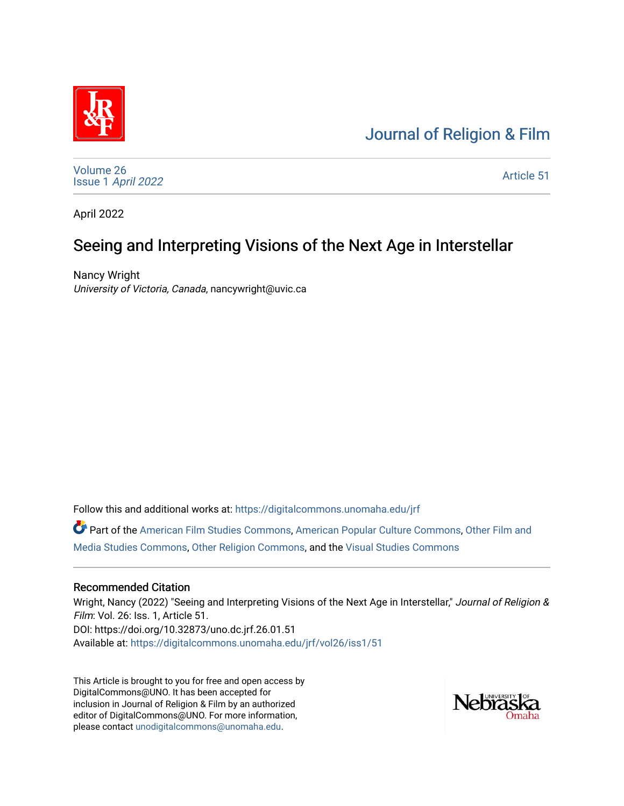# [Journal of Religion & Film](https://digitalcommons.unomaha.edu/jrf)



[Volume 26](https://digitalcommons.unomaha.edu/jrf/vol26) Issue 1 [April 2022](https://digitalcommons.unomaha.edu/jrf/vol26/iss1) 

[Article 51](https://digitalcommons.unomaha.edu/jrf/vol26/iss1/51) 

April 2022

# Seeing and Interpreting Visions of the Next Age in Interstellar

Nancy Wright University of Victoria, Canada, nancywright@uvic.ca

Follow this and additional works at: [https://digitalcommons.unomaha.edu/jrf](https://digitalcommons.unomaha.edu/jrf?utm_source=digitalcommons.unomaha.edu%2Fjrf%2Fvol26%2Fiss1%2F51&utm_medium=PDF&utm_campaign=PDFCoverPages)

Part of the [American Film Studies Commons,](http://network.bepress.com/hgg/discipline/440?utm_source=digitalcommons.unomaha.edu%2Fjrf%2Fvol26%2Fiss1%2F51&utm_medium=PDF&utm_campaign=PDFCoverPages) [American Popular Culture Commons](http://network.bepress.com/hgg/discipline/443?utm_source=digitalcommons.unomaha.edu%2Fjrf%2Fvol26%2Fiss1%2F51&utm_medium=PDF&utm_campaign=PDFCoverPages), [Other Film and](http://network.bepress.com/hgg/discipline/565?utm_source=digitalcommons.unomaha.edu%2Fjrf%2Fvol26%2Fiss1%2F51&utm_medium=PDF&utm_campaign=PDFCoverPages)  [Media Studies Commons,](http://network.bepress.com/hgg/discipline/565?utm_source=digitalcommons.unomaha.edu%2Fjrf%2Fvol26%2Fiss1%2F51&utm_medium=PDF&utm_campaign=PDFCoverPages) [Other Religion Commons](http://network.bepress.com/hgg/discipline/545?utm_source=digitalcommons.unomaha.edu%2Fjrf%2Fvol26%2Fiss1%2F51&utm_medium=PDF&utm_campaign=PDFCoverPages), and the [Visual Studies Commons](http://network.bepress.com/hgg/discipline/564?utm_source=digitalcommons.unomaha.edu%2Fjrf%2Fvol26%2Fiss1%2F51&utm_medium=PDF&utm_campaign=PDFCoverPages) 

# Recommended Citation

Wright, Nancy (2022) "Seeing and Interpreting Visions of the Next Age in Interstellar," Journal of Religion & Film: Vol. 26: Iss. 1, Article 51. DOI: https://doi.org/10.32873/uno.dc.jrf.26.01.51 Available at: [https://digitalcommons.unomaha.edu/jrf/vol26/iss1/51](https://digitalcommons.unomaha.edu/jrf/vol26/iss1/51?utm_source=digitalcommons.unomaha.edu%2Fjrf%2Fvol26%2Fiss1%2F51&utm_medium=PDF&utm_campaign=PDFCoverPages) 

This Article is brought to you for free and open access by DigitalCommons@UNO. It has been accepted for inclusion in Journal of Religion & Film by an authorized editor of DigitalCommons@UNO. For more information, please contact [unodigitalcommons@unomaha.edu.](mailto:unodigitalcommons@unomaha.edu)

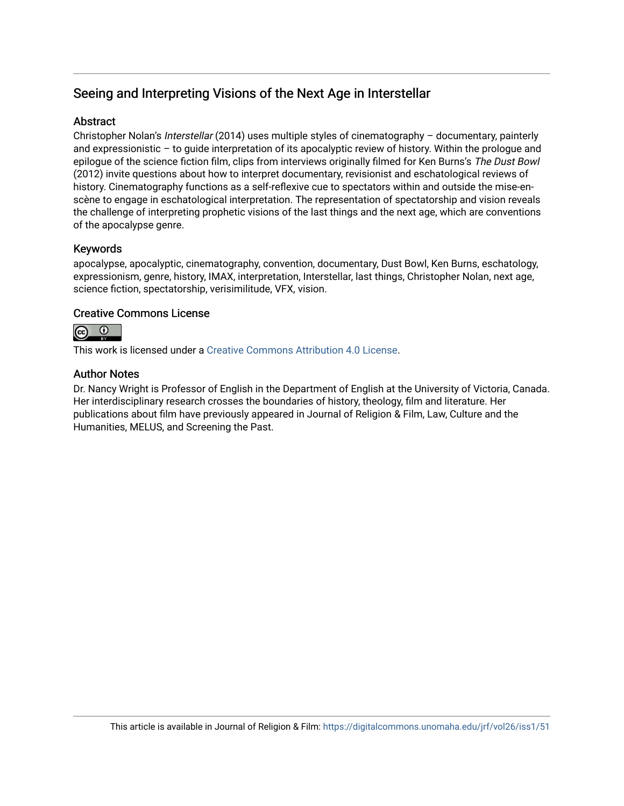# Seeing and Interpreting Visions of the Next Age in Interstellar

# Abstract

Christopher Nolan's Interstellar (2014) uses multiple styles of cinematography – documentary, painterly and expressionistic – to guide interpretation of its apocalyptic review of history. Within the prologue and epilogue of the science fiction film, clips from interviews originally filmed for Ken Burns's The Dust Bowl (2012) invite questions about how to interpret documentary, revisionist and eschatological reviews of history. Cinematography functions as a self-reflexive cue to spectators within and outside the mise-enscène to engage in eschatological interpretation. The representation of spectatorship and vision reveals the challenge of interpreting prophetic visions of the last things and the next age, which are conventions of the apocalypse genre.

# Keywords

apocalypse, apocalyptic, cinematography, convention, documentary, Dust Bowl, Ken Burns, eschatology, expressionism, genre, history, IMAX, interpretation, Interstellar, last things, Christopher Nolan, next age, science fiction, spectatorship, verisimilitude, VFX, vision.

# Creative Commons License



This work is licensed under a [Creative Commons Attribution 4.0 License](https://creativecommons.org/licenses/by/4.0/).

# Author Notes

Dr. Nancy Wright is Professor of English in the Department of English at the University of Victoria, Canada. Her interdisciplinary research crosses the boundaries of history, theology, film and literature. Her publications about film have previously appeared in Journal of Religion & Film, Law, Culture and the Humanities, MELUS, and Screening the Past.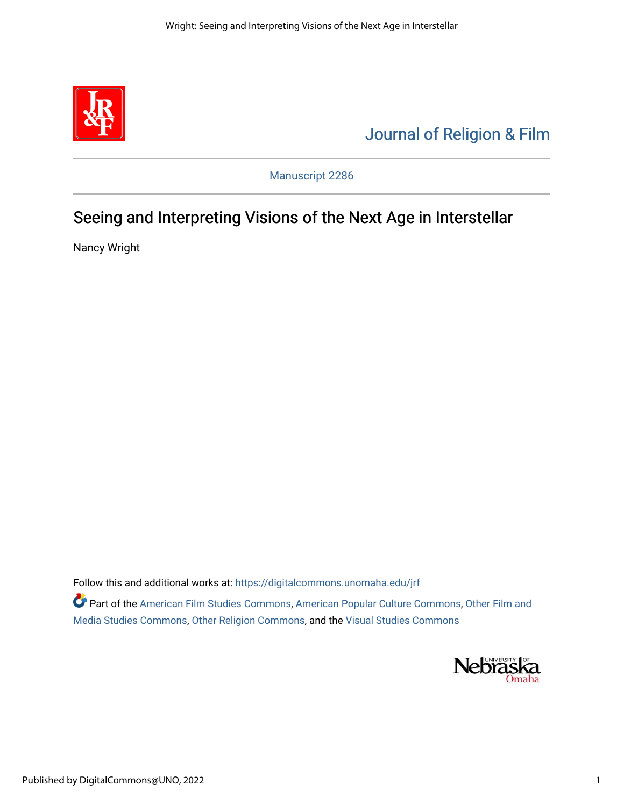

# [Journal of Religion & Film](https://digitalcommons.unomaha.edu/jrf)

Manuscript 2286

# Seeing and Interpreting Visions of the Next Age in Interstellar

Nancy Wright

Follow this and additional works at: [https://digitalcommons.unomaha.edu/jrf](https://digitalcommons.unomaha.edu/jrf?utm_source=digitalcommons.unomaha.edu%2Fjrf%2Fvol16%2Fiss1%2F1&utm_medium=PDF&utm_campaign=PDFCoverPages)

Part of the [American Film Studies Commons,](http://network.bepress.com/hgg/discipline/440?utm_source=digitalcommons.unomaha.edu%2Fjrf%2Fvol16%2Fiss1%2F1&utm_medium=PDF&utm_campaign=PDFCoverPages) [American Popular Culture Commons](http://network.bepress.com/hgg/discipline/443?utm_source=digitalcommons.unomaha.edu%2Fjrf%2Fvol16%2Fiss1%2F1&utm_medium=PDF&utm_campaign=PDFCoverPages), [Other Film and](http://network.bepress.com/hgg/discipline/565?utm_source=digitalcommons.unomaha.edu%2Fjrf%2Fvol16%2Fiss1%2F1&utm_medium=PDF&utm_campaign=PDFCoverPages)  [Media Studies Commons,](http://network.bepress.com/hgg/discipline/565?utm_source=digitalcommons.unomaha.edu%2Fjrf%2Fvol16%2Fiss1%2F1&utm_medium=PDF&utm_campaign=PDFCoverPages) [Other Religion Commons](http://network.bepress.com/hgg/discipline/545?utm_source=digitalcommons.unomaha.edu%2Fjrf%2Fvol16%2Fiss1%2F1&utm_medium=PDF&utm_campaign=PDFCoverPages), and the [Visual Studies Commons](http://network.bepress.com/hgg/discipline/564?utm_source=digitalcommons.unomaha.edu%2Fjrf%2Fvol16%2Fiss1%2F1&utm_medium=PDF&utm_campaign=PDFCoverPages) 

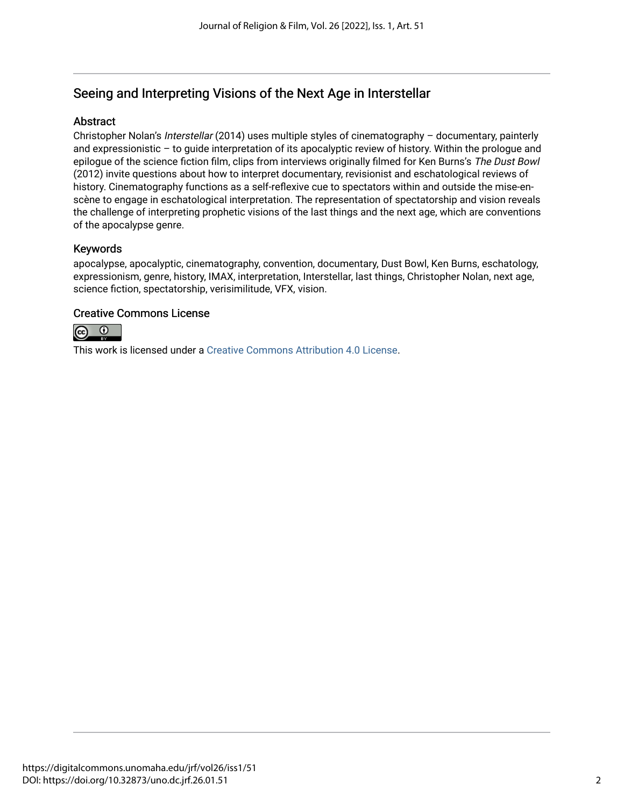# Seeing and Interpreting Visions of the Next Age in Interstellar

# Abstract

Christopher Nolan's Interstellar (2014) uses multiple styles of cinematography – documentary, painterly and expressionistic – to guide interpretation of its apocalyptic review of history. Within the prologue and epilogue of the science fiction film, clips from interviews originally filmed for Ken Burns's The Dust Bowl (2012) invite questions about how to interpret documentary, revisionist and eschatological reviews of history. Cinematography functions as a self-reflexive cue to spectators within and outside the mise-enscène to engage in eschatological interpretation. The representation of spectatorship and vision reveals the challenge of interpreting prophetic visions of the last things and the next age, which are conventions of the apocalypse genre.

# Keywords

apocalypse, apocalyptic, cinematography, convention, documentary, Dust Bowl, Ken Burns, eschatology, expressionism, genre, history, IMAX, interpretation, Interstellar, last things, Christopher Nolan, next age, science fiction, spectatorship, verisimilitude, VFX, vision.

# Creative Commons License



This work is licensed under a [Creative Commons Attribution 4.0 License](https://creativecommons.org/licenses/by/4.0/).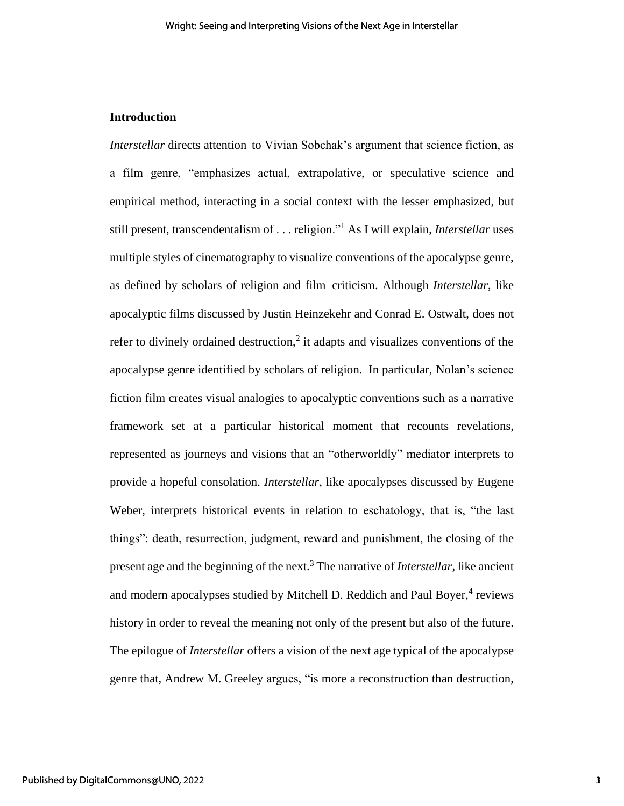# **Introduction**

*Interstellar* directs attention to Vivian Sobchak's argument that science fiction, as a film genre, "emphasizes actual, extrapolative, or speculative science and empirical method, interacting in a social context with the lesser emphasized, but still present, transcendentalism of . . . religion."<sup>1</sup> As I will explain, *Interstellar* uses multiple styles of cinematography to visualize conventions of the apocalypse genre, as defined by scholars of religion and film criticism. Although *Interstellar*, like apocalyptic films discussed by Justin Heinzekehr and Conrad E. Ostwalt, does not refer to divinely ordained destruction,<sup>2</sup> it adapts and visualizes conventions of the apocalypse genre identified by scholars of religion. In particular, Nolan's science fiction film creates visual analogies to apocalyptic conventions such as a narrative framework set at a particular historical moment that recounts revelations, represented as journeys and visions that an "otherworldly" mediator interprets to provide a hopeful consolation. *Interstellar*, like apocalypses discussed by Eugene Weber, interprets historical events in relation to eschatology, that is, "the last things": death, resurrection, judgment, reward and punishment, the closing of the present age and the beginning of the next.<sup>3</sup> The narrative of *Interstellar,* like ancient and modern apocalypses studied by Mitchell D. Reddich and Paul Boyer,<sup>4</sup> reviews history in order to reveal the meaning not only of the present but also of the future. The epilogue of *Interstellar* offers a vision of the next age typical of the apocalypse genre that, Andrew M. Greeley argues, "is more a reconstruction than destruction,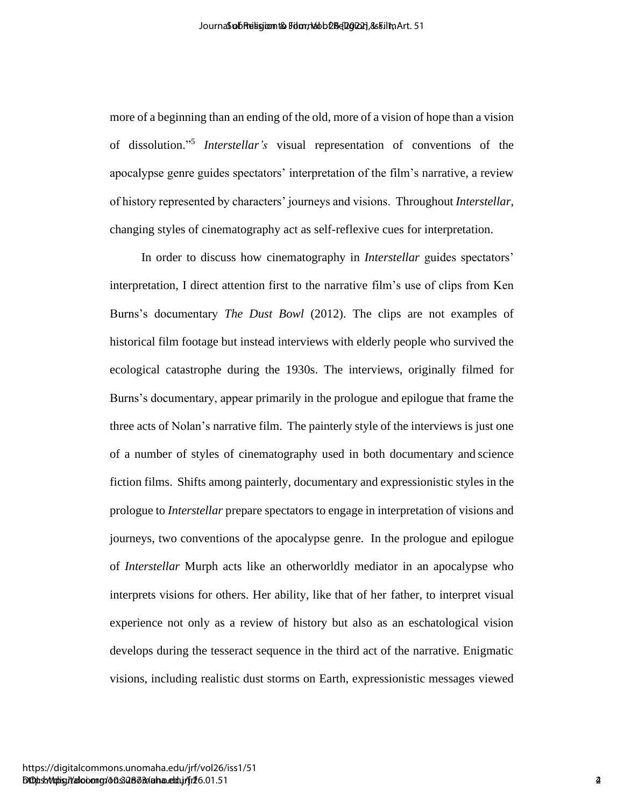more of a beginning than an ending of the old, more of a vision of hope than a vision of dissolution." 5 *Interstellar's* visual representation of conventions of the apocalypse genre guides spectators' interpretation of the film's narrative, a review of history represented by characters' journeys and visions. Throughout *Interstellar*, changing styles of cinematography act as self-reflexive cues for interpretation.

In order to discuss how cinematography in *Interstellar* guides spectators' interpretation, I direct attention first to the narrative film's use of clips from Ken Burns's documentary *The Dust Bowl* (2012). The clips are not examples of historical film footage but instead interviews with elderly people who survived the ecological catastrophe during the 1930s. The interviews, originally filmed for Burns's documentary, appear primarily in the prologue and epilogue that frame the three acts of Nolan's narrative film. The painterly style of the interviews is just one of a number of styles of cinematography used in both documentary and science fiction films. Shifts among painterly, documentary and expressionistic styles in the prologue to *Interstellar* prepare spectators to engage in interpretation of visions and journeys, two conventions of the apocalypse genre. In the prologue and epilogue of *Interstellar* Murph acts like an otherworldly mediator in an apocalypse who interprets visions for others. Her ability, like that of her father, to interpret visual experience not only as a review of history but also as an eschatological vision develops during the tesseract sequence in the third act of the narrative. Enigmatic visions, including realistic dust storms on Earth, expressionistic messages viewed Anomological manner of exploration of the exist of Religion Chinese the Contents of Religion & Theorem of Association of Religion and Theorem of Religion and Theorem of Religion and Theorem of Religion and Theorem of Relig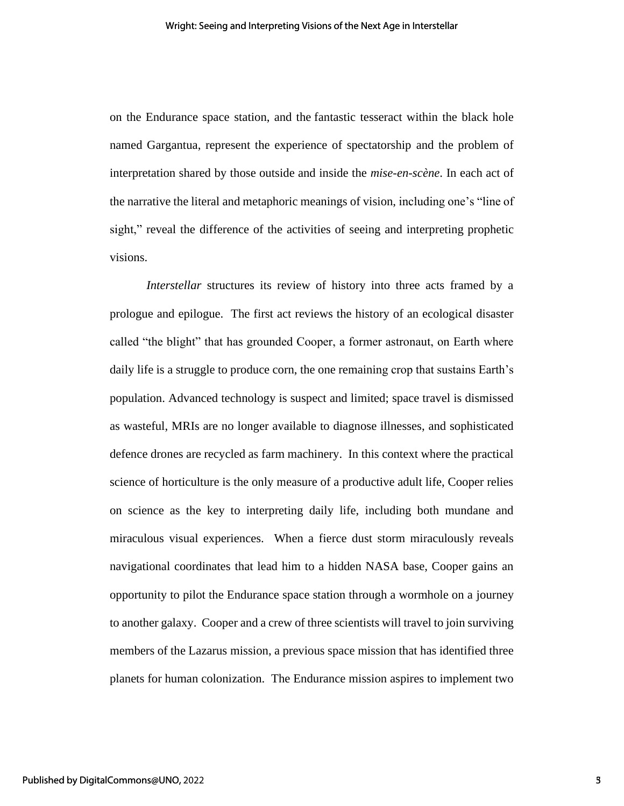on the Endurance space station, and the fantastic tesseract within the black hole named Gargantua, represent the experience of spectatorship and the problem of interpretation shared by those outside and inside the *mise-en-scène*. In each act of the narrative the literal and metaphoric meanings of vision, including one's "line of sight," reveal the difference of the activities of seeing and interpreting prophetic visions.

*Interstellar* structures its review of history into three acts framed by a prologue and epilogue. The first act reviews the history of an ecological disaster called "the blight" that has grounded Cooper, a former astronaut, on Earth where daily life is a struggle to produce corn, the one remaining crop that sustains Earth's population. Advanced technology is suspect and limited; space travel is dismissed as wasteful, MRIs are no longer available to diagnose illnesses, and sophisticated defence drones are recycled as farm machinery. In this context where the practical science of horticulture is the only measure of a productive adult life, Cooper relies on science as the key to interpreting daily life, including both mundane and miraculous visual experiences. When a fierce dust storm miraculously reveals navigational coordinates that lead him to a hidden NASA base, Cooper gains an opportunity to pilot the Endurance space station through a wormhole on a journey to another galaxy. Cooper and a crew of three scientists will travel to join surviving members of the Lazarus mission, a previous space mission that has identified three planets for human colonization. The Endurance mission aspires to implement two

3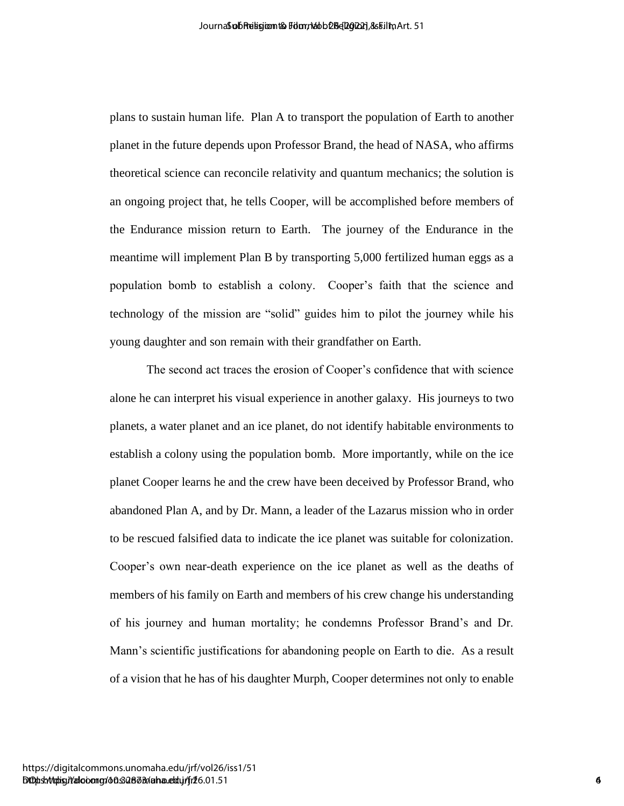plans to sustain human life. Plan A to transport the population of Earth to another planet in the future depends upon Professor Brand, the head of NASA, who affirms theoretical science can reconcile relativity and quantum mechanics; the solution is an ongoing project that, he tells Cooper, will be accomplished before members of the Endurance mission return to Earth. The journey of the Endurance in the meantime will implement Plan B by transporting 5,000 fertilized human eggs as a population bomb to establish a colony. Cooper's faith that the science and technology of the mission are "solid" guides him to pilot the journey while his young daughter and son remain with their grandfather on Earth.

The second act traces the erosion of Cooper's confidence that with science alone he can interpret his visual experience in another galaxy. His journeys to two planets, a water planet and an ice planet, do not identify habitable environments to establish a colony using the population bomb. More importantly, while on the ice planet Cooper learns he and the crew have been deceived by Professor Brand, who abandoned Plan A, and by Dr. Mann, a leader of the Lazarus mission who in order to be rescued falsified data to indicate the ice planet was suitable for colonization. Cooper's own near-death experience on the ice planet as well as the deaths of members of his family on Earth and members of his crew change his understanding of his journey and human mortality; he condemns Professor Brand's and Dr. Mann's scientific justifications for abandoning people on Earth to die. As a result of a vision that he has of his daughter Murph, Cooper determines not only to enable λουτισδαθεί πρασκευτο δεν παραγωνικού και το Γενικό 10 [2022].<br>
Hence to securite the form of Professor Benad, the based of NASA, who affirms the method of Nash of NASA, when affirms<br>
the religion of Religion Canadia spon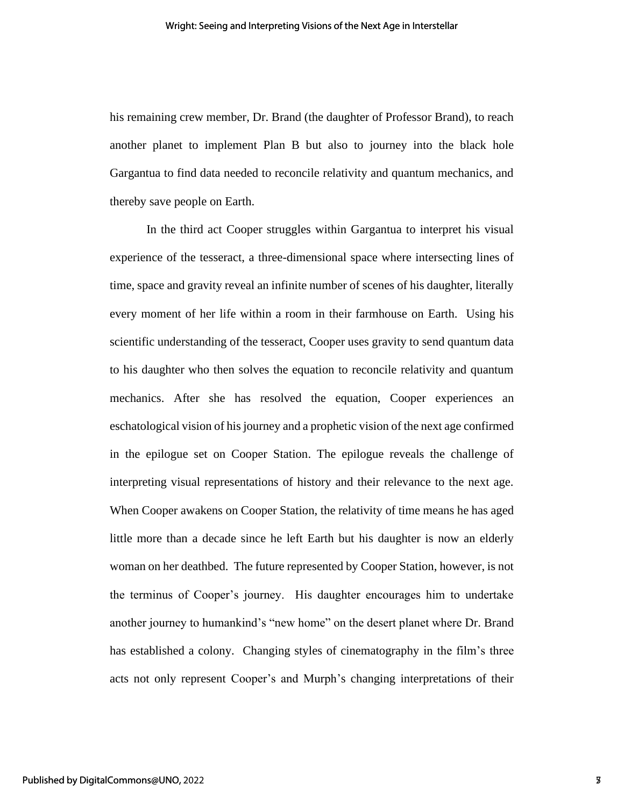his remaining crew member, Dr. Brand (the daughter of Professor Brand), to reach another planet to implement Plan B but also to journey into the black hole Gargantua to find data needed to reconcile relativity and quantum mechanics, and thereby save people on Earth.

In the third act Cooper struggles within Gargantua to interpret his visual experience of the tesseract, a three-dimensional space where intersecting lines of time, space and gravity reveal an infinite number of scenes of his daughter, literally every moment of her life within a room in their farmhouse on Earth. Using his scientific understanding of the tesseract, Cooper uses gravity to send quantum data to his daughter who then solves the equation to reconcile relativity and quantum mechanics. After she has resolved the equation, Cooper experiences an eschatological vision of his journey and a prophetic vision of the next age confirmed in the epilogue set on Cooper Station. The epilogue reveals the challenge of interpreting visual representations of history and their relevance to the next age. When Cooper awakens on Cooper Station, the relativity of time means he has aged little more than a decade since he left Earth but his daughter is now an elderly woman on her deathbed. The future represented by Cooper Station, however, is not the terminus of Cooper's journey. His daughter encourages him to undertake another journey to humankind's "new home" on the desert planet where Dr. Brand has established a colony. Changing styles of cinematography in the film's three acts not only represent Cooper's and Murph's changing interpretations of their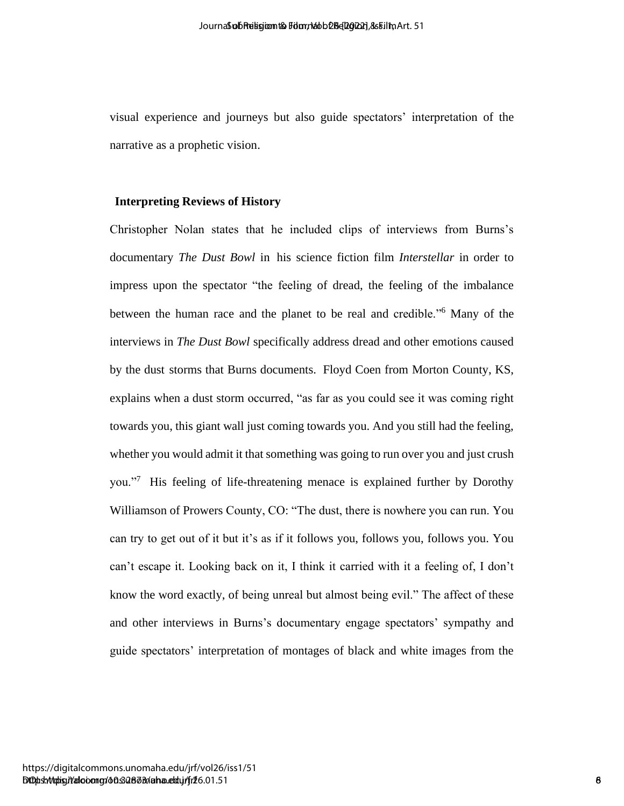visual experience and journeys but also guide spectators' interpretation of the narrative as a prophetic vision.

### **Interpreting Reviews of History**

Christopher Nolan states that he included clips of interviews from Burns's documentary *The Dust Bowl* in his science fiction film *Interstellar* in order to impress upon the spectator "the feeling of dread, the feeling of the imbalance between the human race and the planet to be real and credible."<sup>6</sup> Many of the interviews in *The Dust Bowl* specifically address dread and other emotions caused by the dust storms that Burns documents. Floyd Coen from Morton County, KS, explains when a dust storm occurred, "as far as you could see it was coming right towards you, this giant wall just coming towards you. And you still had the feeling, whether you would admit it that something was going to run over you and just crush you."<sup>7</sup> His feeling of life-threatening menace is explained further by Dorothy Williamson of Prowers County, CO: "The dust, there is nowhere you can run. You can try to get out of it but it's as if it follows you, follows you, follows you. You can't escape it. Looking back on it, I think it carried with it a feeling of, I don't know the word exactly, of being unreal but almost being evil." The affect of these and other interviews in Burns's documentary engage spectators' sympathy and guide spectators' interpretation of montages of black and white images from the Anomological experience and putnings the state grade spectations interpretation of the narrative as a propheric vision.<br>
Interpreting Reviews of History<br>
Christopher Noins, states, the linestocked clips of interviews from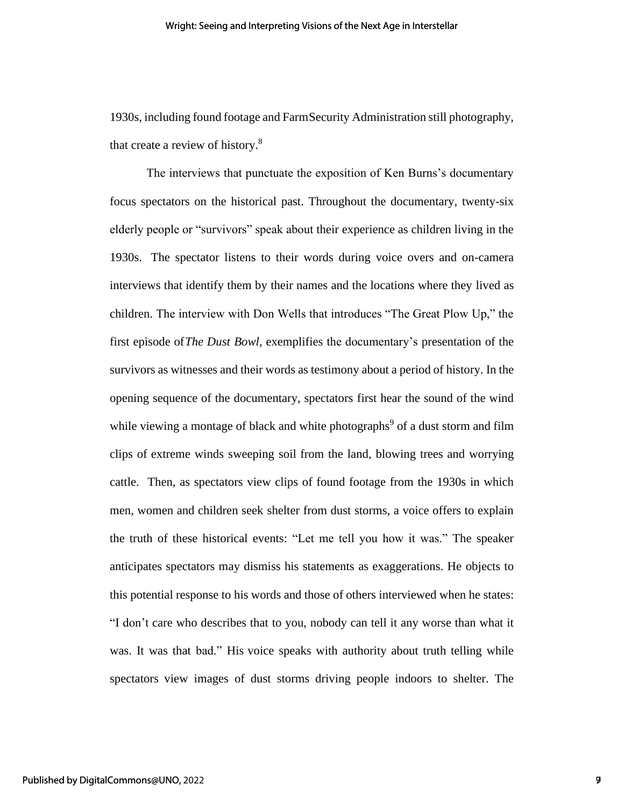1930s, including found footage and FarmSecurity Administration still photography, that create a review of history.<sup>8</sup>

The interviews that punctuate the exposition of Ken Burns's documentary focus spectators on the historical past. Throughout the documentary, twenty-six elderly people or "survivors" speak about their experience as children living in the 1930s. The spectator listens to their words during voice overs and on-camera interviews that identify them by their names and the locations where they lived as children. The interview with Don Wells that introduces "The Great Plow Up," the first episode of*The Dust Bowl*, exemplifies the documentary's presentation of the survivors as witnesses and their words as testimony about a period of history. In the opening sequence of the documentary, spectators first hear the sound of the wind while viewing a montage of black and white photographs<sup>9</sup> of a dust storm and film clips of extreme winds sweeping soil from the land, blowing trees and worrying cattle. Then, as spectators view clips of found footage from the 1930s in which men, women and children seek shelter from dust storms, a voice offers to explain the truth of these historical events: "Let me tell you how it was." The speaker anticipates spectators may dismiss his statements as exaggerations. He objects to this potential response to his words and those of others interviewed when he states: "I don't care who describes that to you, nobody can tell it any worse than what it was. It was that bad." His voice speaks with authority about truth telling while spectators view images of dust storms driving people indoors to shelter. The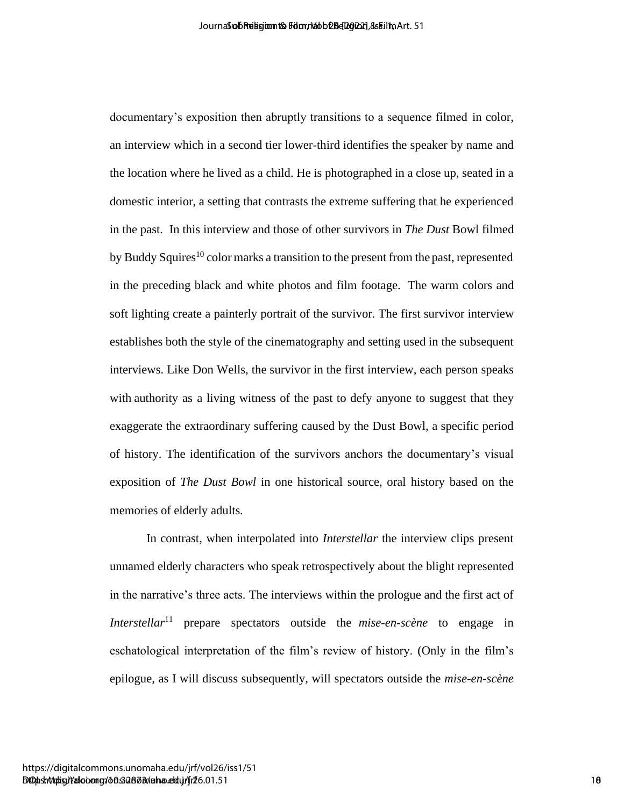documentary's exposition then abruptly transitions to a sequence filmed in color, an interview which in a second tier lower-third identifies the speaker by name and the location where he lived as a child. He is photographed in a close up, seated in a domestic interior, a setting that contrasts the extreme suffering that he experienced in the past. In this interview and those of other survivors in *The Dust* Bowl filmed by Buddy Squires<sup>10</sup> color marks a transition to the present from the past, represented in the preceding black and white photos and film footage. The warm colors and soft lighting create a painterly portrait of the survivor. The first survivor interview establishes both the style of the cinematography and setting used in the subsequent interviews. Like Don Wells, the survivor in the first interview, each person speaks with authority as a living witness of the past to defy anyone to suggest that they exaggerate the extraordinary suffering caused by the Dust Bowl, a specific period of history. The identification of the survivors anchors the documentary's visual exposition of *The Dust Bowl* in one historical source, oral history based on the memories of elderly adults*.*  According the Montgombara of Religion Constrainers (ST)<br>
discusses that is a sequence of Religion Barackine and a sequence of Religion Barackine and<br>
the location where the first a substitute the photographical in a stock

In contrast, when interpolated into *Interstellar* the interview clips present unnamed elderly characters who speak retrospectively about the blight represented in the narrative's three acts. The interviews within the prologue and the first act of *Interstellar*<sup>11</sup> prepare spectators outside the *mise-en-scène* to engage in eschatological interpretation of the film's review of history. (Only in the film's epilogue, as I will discuss subsequently, will spectators outside the *mise-en-scène*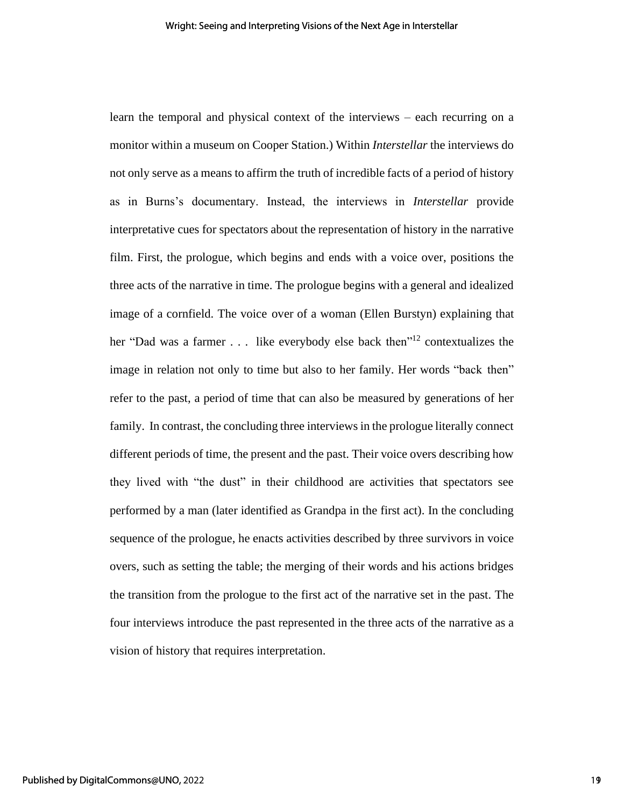learn the temporal and physical context of the interviews – each recurring on a monitor within a museum on Cooper Station.) Within *Interstellar* the interviews do not only serve as a means to affirm the truth of incredible facts of a period of history as in Burns's documentary. Instead, the interviews in *Interstellar* provide interpretative cues for spectators about the representation of history in the narrative film. First, the prologue, which begins and ends with a voice over, positions the three acts of the narrative in time. The prologue begins with a general and idealized image of a cornfield. The voice over of a woman (Ellen Burstyn) explaining that her "Dad was a farmer  $\ldots$  like everybody else back then"<sup>12</sup> contextualizes the image in relation not only to time but also to her family. Her words "back then" refer to the past, a period of time that can also be measured by generations of her family. In contrast, the concluding three interviews in the prologue literally connect different periods of time, the present and the past. Their voice overs describing how they lived with "the dust" in their childhood are activities that spectators see performed by a man (later identified as Grandpa in the first act). In the concluding sequence of the prologue, he enacts activities described by three survivors in voice overs, such as setting the table; the merging of their words and his actions bridges the transition from the prologue to the first act of the narrative set in the past. The four interviews introduce the past represented in the three acts of the narrative as a vision of history that requires interpretation.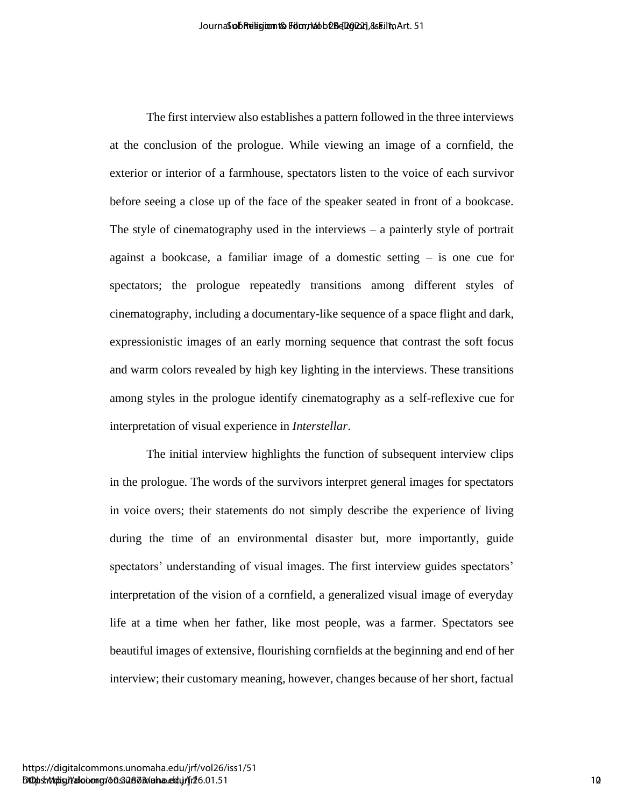The first interview also establishes a pattern followed in the three interviews at the conclusion of the prologue. While viewing an image of a cornfield, the exterior or interior of a farmhouse, spectators listen to the voice of each survivor before seeing a close up of the face of the speaker seated in front of a bookcase. The style of cinematography used in the interviews – a painterly style of portrait against a bookcase, a familiar image of a domestic setting – is one cue for spectators; the prologue repeatedly transitions among different styles of cinematography, including a documentary-like sequence of a space flight and dark, expressionistic images of an early morning sequence that contrast the soft focus and warm colors revealed by high key lighting in the interviews. These transitions among styles in the prologue identify cinematography as a self-reflexive cue for interpretation of visual experience in *Interstellar*. Accordination throughout a pair follow the control of the control of the control of the Scotlar Control of the product system and the series of a control of the product of the product system and the series of an environmen

The initial interview highlights the function of subsequent interview clips in the prologue. The words of the survivors interpret general images for spectators in voice overs; their statements do not simply describe the experience of living during the time of an environmental disaster but, more importantly, guide spectators' understanding of visual images. The first interview guides spectators' interpretation of the vision of a cornfield, a generalized visual image of everyday life at a time when her father, like most people, was a farmer. Spectators see beautiful images of extensive, flourishing cornfields at the beginning and end of her interview; their customary meaning, however, changes because of her short, factual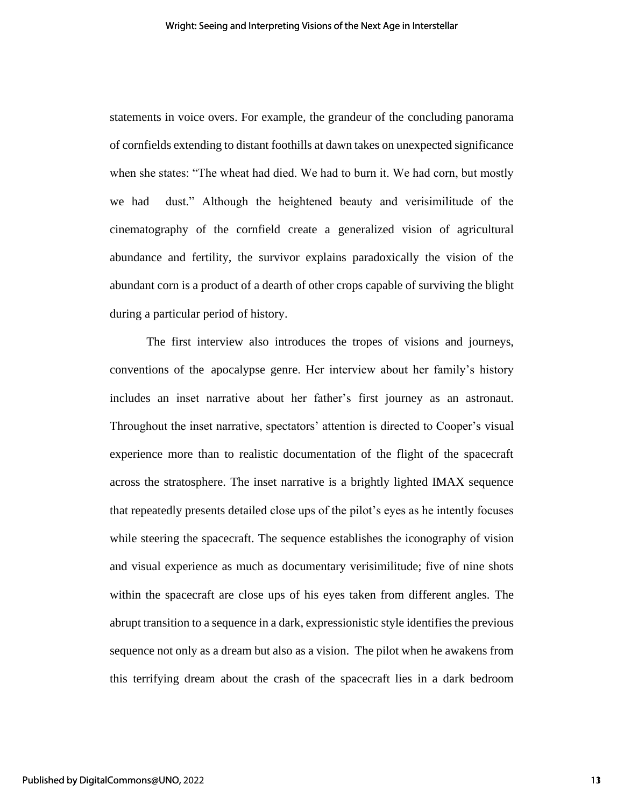statements in voice overs. For example, the grandeur of the concluding panorama of cornfields extending to distant foothills at dawn takes on unexpected significance when she states: "The wheat had died. We had to burn it. We had corn, but mostly we had dust." Although the heightened beauty and verisimilitude of the cinematography of the cornfield create a generalized vision of agricultural abundance and fertility, the survivor explains paradoxically the vision of the abundant corn is a product of a dearth of other crops capable of surviving the blight during a particular period of history.

The first interview also introduces the tropes of visions and journeys, conventions of the apocalypse genre. Her interview about her family's history includes an inset narrative about her father's first journey as an astronaut. Throughout the inset narrative, spectators' attention is directed to Cooper's visual experience more than to realistic documentation of the flight of the spacecraft across the stratosphere. The inset narrative is a brightly lighted IMAX sequence that repeatedly presents detailed close ups of the pilot's eyes as he intently focuses while steering the spacecraft. The sequence establishes the iconography of vision and visual experience as much as documentary verisimilitude; five of nine shots within the spacecraft are close ups of his eyes taken from different angles. The abrupt transition to a sequence in a dark, expressionistic style identifies the previous sequence not only as a dream but also as a vision. The pilot when he awakens from this terrifying dream about the crash of the spacecraft lies in a dark bedroom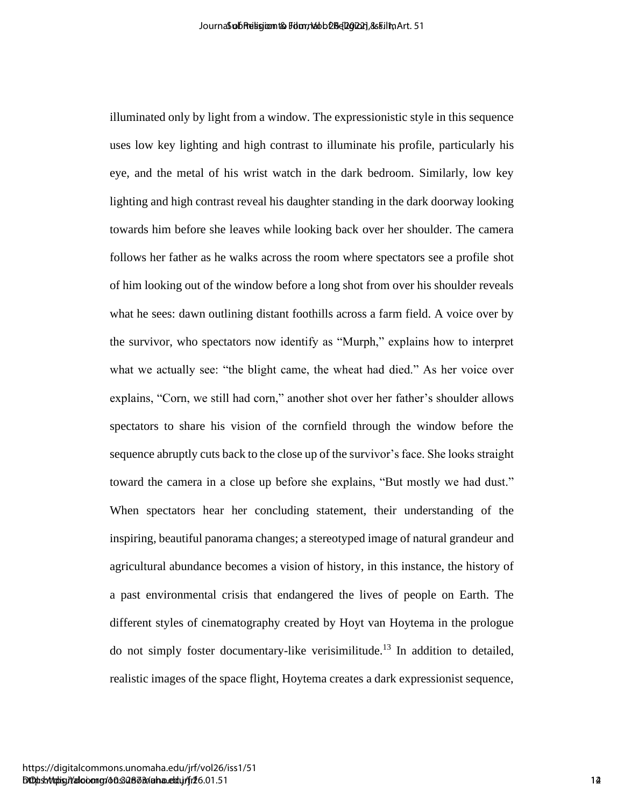illuminated only by light from a window. The expressionistic style in this sequence uses low key lighting and high contrast to illuminate his profile, particularly his eye, and the metal of his wrist watch in the dark bedroom. Similarly, low key lighting and high contrast reveal his daughter standing in the dark doorway looking towards him before she leaves while looking back over her shoulder. The camera follows her father as he walks across the room where spectators see a profile shot of him looking out of the window before a long shot from over his shoulder reveals what he sees: dawn outlining distant foothills across a farm field. A voice over by the survivor, who spectators now identify as "Murph," explains how to interpret what we actually see: "the blight came, the wheat had died." As her voice over explains, "Corn, we still had corn," another shot over her father's shoulder allows spectators to share his vision of the cornfield through the window before the sequence abruptly cuts back to the close up of the survivor's face. She looks straight toward the camera in a close up before she explains, "But mostly we had dust." When spectators hear her concluding statement, their understanding of the inspiring, beautiful panorama changes; a stereotyped image of natural grandeur and agricultural abundance becomes a vision of history, in this instance, the history of a past environmental crisis that endangered the lives of people on Earth. The different styles of cinematography created by Hoyt van Hoytema in the prologue do not simply foster documentary-like verisimilitude.<sup>13</sup> In addition to detailed, realistic images of the space flight, Hoytema creates a dark expressionist sequence, According the Markov Markov Markov Markov Markov Strains suppose<br>
intuitions of the metal of this were walch in the dark best<br>out. Similarly, the top specific the metal of this were walch in the dark best<br>out. Similarly, t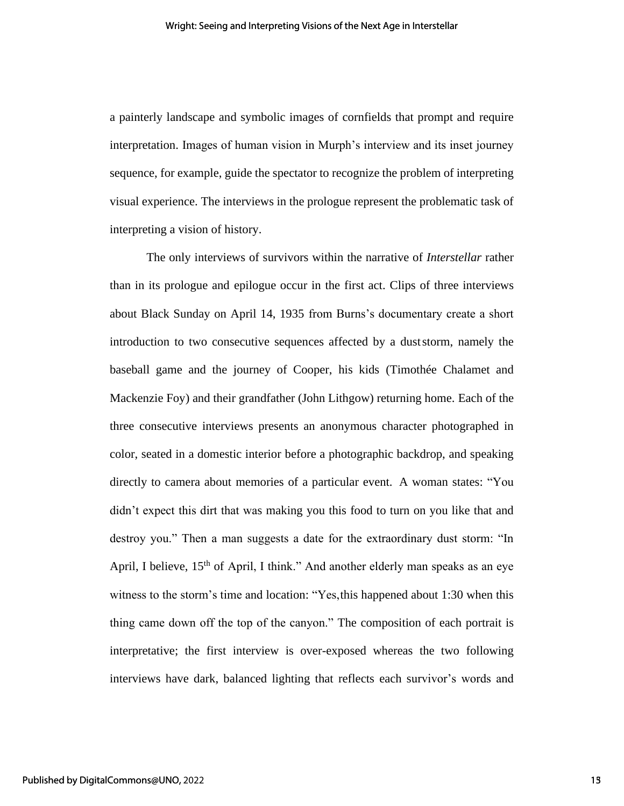a painterly landscape and symbolic images of cornfields that prompt and require interpretation. Images of human vision in Murph's interview and its inset journey sequence, for example, guide the spectator to recognize the problem of interpreting visual experience. The interviews in the prologue represent the problematic task of interpreting a vision of history.

The only interviews of survivors within the narrative of *Interstellar* rather than in its prologue and epilogue occur in the first act. Clips of three interviews about Black Sunday on April 14, 1935 from Burns's documentary create a short introduction to two consecutive sequences affected by a duststorm, namely the baseball game and the journey of Cooper, his kids (Timothée Chalamet and Mackenzie Foy) and their grandfather (John Lithgow) returning home. Each of the three consecutive interviews presents an anonymous character photographed in color, seated in a domestic interior before a photographic backdrop, and speaking directly to camera about memories of a particular event. A woman states: "You didn't expect this dirt that was making you this food to turn on you like that and destroy you." Then a man suggests a date for the extraordinary dust storm: "In April, I believe,  $15<sup>th</sup>$  of April, I think." And another elderly man speaks as an eye witness to the storm's time and location: "Yes,this happened about 1:30 when this thing came down off the top of the canyon." The composition of each portrait is interpretative; the first interview is over-exposed whereas the two following interviews have dark, balanced lighting that reflects each survivor's words and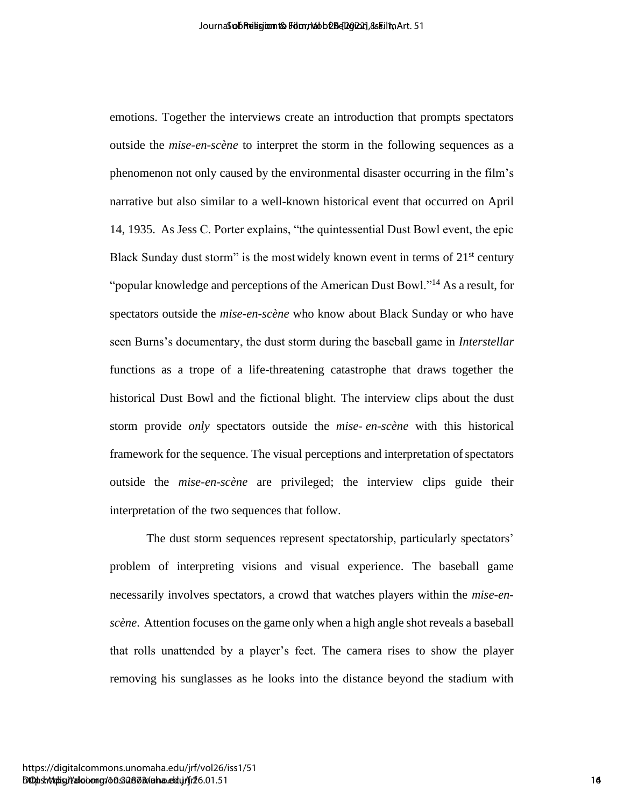emotions. Together the interviews create an introduction that prompts spectators outside the *mise-en-scène* to interpret the storm in the following sequences as a phenomenon not only caused by the environmental disaster occurring in the film's narrative but also similar to a well-known historical event that occurred on April 14, 1935. As Jess C. Porter explains, "the quintessential Dust Bowl event, the epic Black Sunday dust storm" is the most widely known event in terms of  $21<sup>st</sup>$  century "popular knowledge and perceptions of the American Dust Bowl."<sup>14</sup> As a result, for spectators outside the *mise-en-scène* who know about Black Sunday or who have seen Burns's documentary, the dust storm during the baseball game in *Interstellar* functions as a trope of a life-threatening catastrophe that draws together the historical Dust Bowl and the fictional blight*.* The interview clips about the dust storm provide *only* spectators outside the *mise- en-scène* with this historical framework for the sequence. The visual perceptions and interpretation of spectators outside the *mise-en-scène* are privileged; the interview clips guide their interpretation of the two sequences that follow. Anomological bisis and the constraints of Religion Control of Religion  $\lambda$  and  $\lambda$  and  $\lambda$  and  $\lambda$  and  $\lambda$  and  $\lambda$  and  $\lambda$  and  $\lambda$  and  $\lambda$  and  $\lambda$  and  $\lambda$  and  $\lambda$  and  $\lambda$  and  $\lambda$  and  $\lambda$  and  $\lambda$  and  $\lambda$  a

The dust storm sequences represent spectatorship, particularly spectators' problem of interpreting visions and visual experience. The baseball game necessarily involves spectators, a crowd that watches players within the *mise-enscène*. Attention focuses on the game only when a high angle shot reveals a baseball that rolls unattended by a player's feet. The camera rises to show the player removing his sunglasses as he looks into the distance beyond the stadium with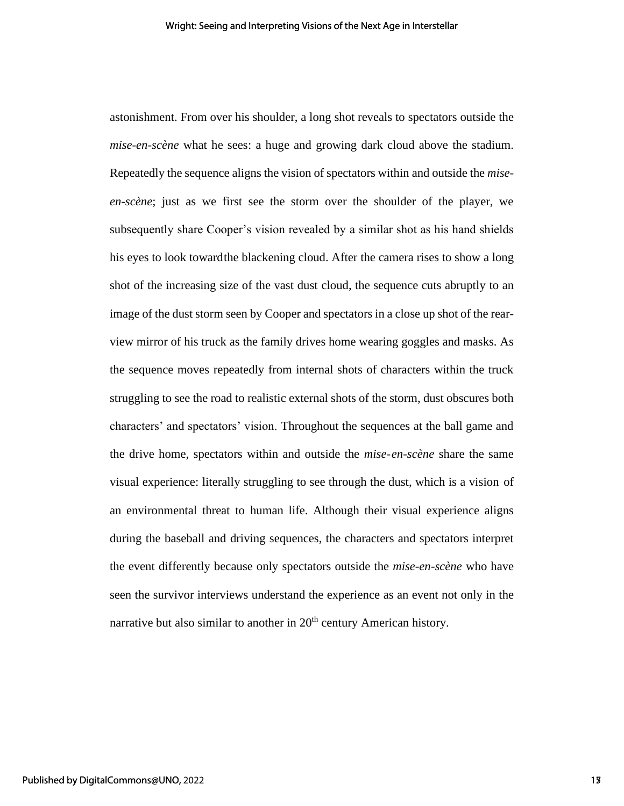astonishment. From over his shoulder, a long shot reveals to spectators outside the *mise-en-scène* what he sees: a huge and growing dark cloud above the stadium. Repeatedly the sequence aligns the vision of spectators within and outside the *miseen-scène*; just as we first see the storm over the shoulder of the player, we subsequently share Cooper's vision revealed by a similar shot as his hand shields his eyes to look towardthe blackening cloud. After the camera rises to show a long shot of the increasing size of the vast dust cloud, the sequence cuts abruptly to an image of the dust storm seen by Cooper and spectators in a close up shot of the rearview mirror of his truck as the family drives home wearing goggles and masks. As the sequence moves repeatedly from internal shots of characters within the truck struggling to see the road to realistic external shots of the storm, dust obscures both characters' and spectators' vision. Throughout the sequences at the ball game and the drive home, spectators within and outside the *mise-en-scène* share the same visual experience: literally struggling to see through the dust, which is a vision of an environmental threat to human life. Although their visual experience aligns during the baseball and driving sequences, the characters and spectators interpret the event differently because only spectators outside the *mise-en-scène* who have seen the survivor interviews understand the experience as an event not only in the narrative but also similar to another in 20<sup>th</sup> century American history.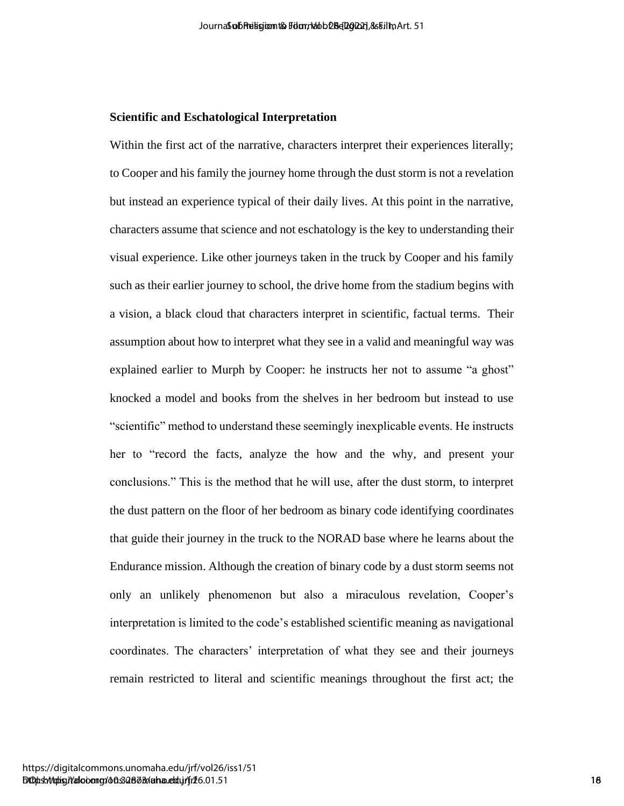### **Scientific and Eschatological Interpretation**

Within the first act of the narrative, characters interpret their experiences literally; to Cooper and his family the journey home through the dust storm is not a revelation but instead an experience typical of their daily lives. At this point in the narrative, characters assume that science and not eschatology is the key to understanding their visual experience. Like other journeys taken in the truck by Cooper and his family such as their earlier journey to school, the drive home from the stadium begins with a vision, a black cloud that characters interpret in scientific, factual terms. Their assumption about how to interpret what they see in a valid and meaningful way was explained earlier to Murph by Cooper: he instructs her not to assume "a ghost" knocked a model and books from the shelves in her bedroom but instead to use "scientific" method to understand these seemingly inexplicable events. He instructs her to "record the facts, analyze the how and the why, and present your conclusions." This is the method that he will use, after the dust storm, to interpret the dust pattern on the floor of her bedroom as binary code identifying coordinates that guide their journey in the truck to the NORAD base where he learns about the Endurance mission. Although the creation of binary code by a dust storm seems not only an unlikely phenomenon but also a miraculous revelation, Cooper's interpretation is limited to the code's established scientific meaning as navigational coordinates. The characters' interpretation of what they see and their journeys remain restricted to literal and scientific meanings throughout the first act; the λουτιδαθεί δημείου δυσκευάλου (ε) 1<br>
Scientific and Exchanological Interpretation<br>
Within the first ext of the ancretive, characters interpret their experiences literally;<br>
in Conger and his film is given by priority of t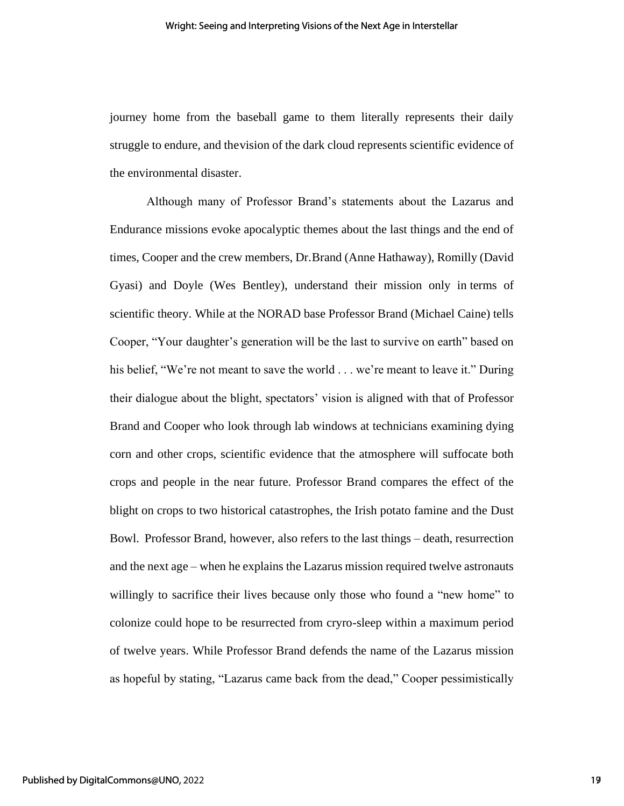journey home from the baseball game to them literally represents their daily struggle to endure, and thevision of the dark cloud represents scientific evidence of the environmental disaster.

Although many of Professor Brand's statements about the Lazarus and Endurance missions evoke apocalyptic themes about the last things and the end of times, Cooper and the crew members, Dr.Brand (Anne Hathaway), Romilly (David Gyasi) and Doyle (Wes Bentley), understand their mission only in terms of scientific theory. While at the NORAD base Professor Brand (Michael Caine) tells Cooper, "Your daughter's generation will be the last to survive on earth" based on his belief, "We're not meant to save the world . . . we're meant to leave it." During their dialogue about the blight, spectators' vision is aligned with that of Professor Brand and Cooper who look through lab windows at technicians examining dying corn and other crops, scientific evidence that the atmosphere will suffocate both crops and people in the near future. Professor Brand compares the effect of the blight on crops to two historical catastrophes, the Irish potato famine and the Dust Bowl. Professor Brand, however, also refers to the last things – death, resurrection and the next age – when he explains the Lazarus mission required twelve astronauts willingly to sacrifice their lives because only those who found a "new home" to colonize could hope to be resurrected from cryro-sleep within a maximum period of twelve years. While Professor Brand defends the name of the Lazarus mission as hopeful by stating, "Lazarus came back from the dead," Cooper pessimistically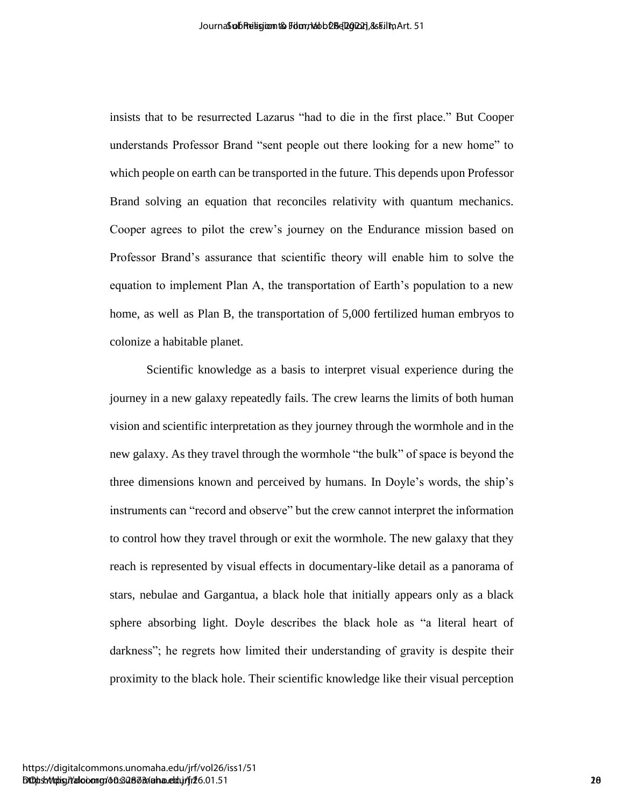insists that to be resurrected Lazarus "had to die in the first place." But Cooper understands Professor Brand "sent people out there looking for a new home" to which people on earth can be transported in the future. This depends upon Professor Brand solving an equation that reconciles relativity with quantum mechanics. Cooper agrees to pilot the crew's journey on the Endurance mission based on Professor Brand's assurance that scientific theory will enable him to solve the equation to implement Plan A, the transportation of Earth's population to a new home, as well as Plan B, the transportation of 5,000 fertilized human embryos to colonize a habitable planet.

Scientific knowledge as a basis to interpret visual experience during the journey in a new galaxy repeatedly fails. The crew learns the limits of both human vision and scientific interpretation as they journey through the wormhole and in the new galaxy. As they travel through the wormhole "the bulk" of space is beyond the three dimensions known and perceived by humans. In Doyle's words, the ship's instruments can "record and observe" but the crew cannot interpret the information to control how they travel through or exit the wormhole. The new galaxy that they reach is represented by visual effects in documentary-like detail as a panorama of stars, nebulae and Gargantua, a black hole that initially appears only as a black sphere absorbing light. Doyle describes the black hole as "a literal heart of darkness"; he regrets how limited their understanding of gravity is despite their proximity to the black hole. Their scientific knowledge like their visual perception According the Meanwhidth of the Hard place of State Congress (State Congress)<br>
inside the transformation of the monopole of the First place. The dependence of the Volence Conde<br>
which people on each can be transported in t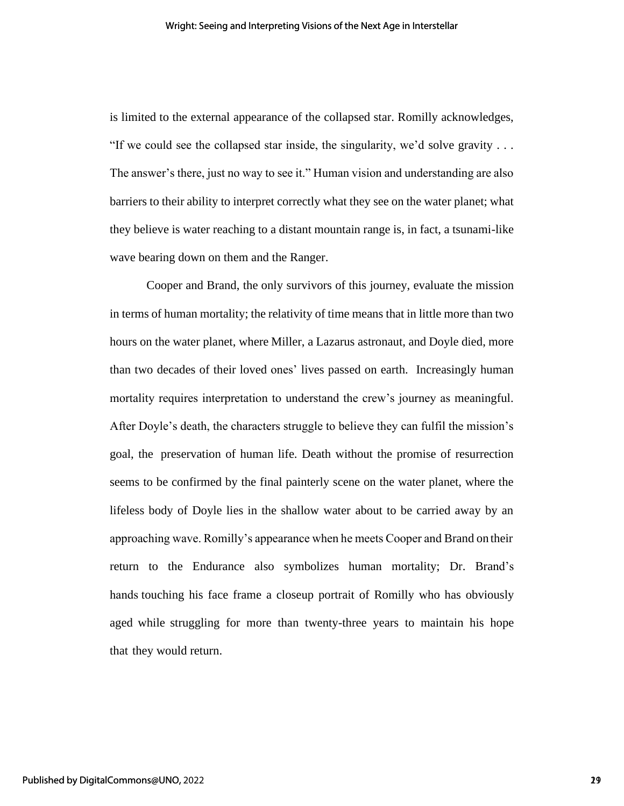is limited to the external appearance of the collapsed star. Romilly acknowledges, "If we could see the collapsed star inside, the singularity, we'd solve gravity  $\dots$ The answer's there, just no way to see it." Human vision and understanding are also barriers to their ability to interpret correctly what they see on the water planet; what they believe is water reaching to a distant mountain range is, in fact, a tsunami-like wave bearing down on them and the Ranger.

Cooper and Brand, the only survivors of this journey, evaluate the mission in terms of human mortality; the relativity of time means that in little more than two hours on the water planet, where Miller, a Lazarus astronaut, and Doyle died, more than two decades of their loved ones' lives passed on earth. Increasingly human mortality requires interpretation to understand the crew's journey as meaningful. After Doyle's death, the characters struggle to believe they can fulfil the mission's goal, the preservation of human life. Death without the promise of resurrection seems to be confirmed by the final painterly scene on the water planet, where the lifeless body of Doyle lies in the shallow water about to be carried away by an approaching wave. Romilly's appearance when he meets Cooper and Brand on their return to the Endurance also symbolizes human mortality; Dr. Brand's hands touching his face frame a closeup portrait of Romilly who has obviously aged while struggling for more than twenty-three years to maintain his hope that they would return.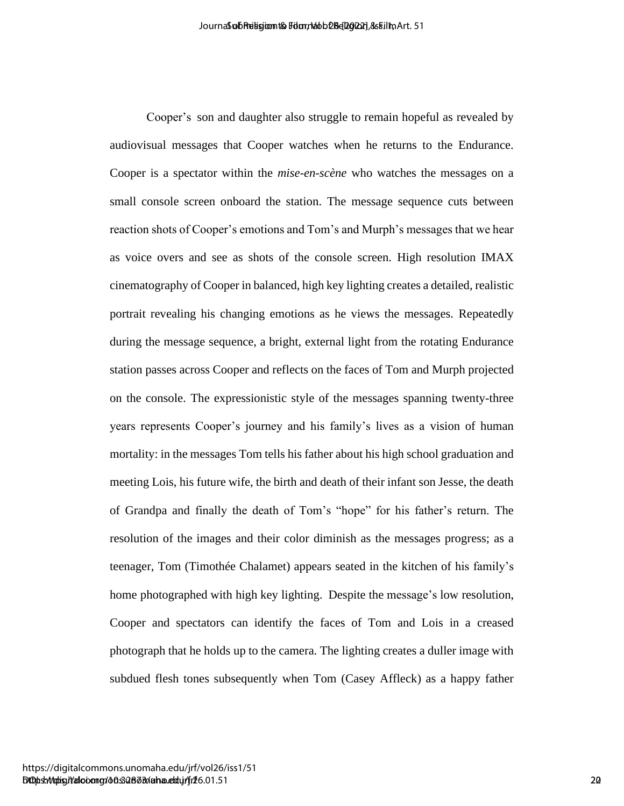Cooper's son and daughter also struggle to remain hopeful as revealed by audiovisual messages that Cooper watches when he returns to the Endurance. Cooper is a spectator within the *mise-en-scène* who watches the messages on a small console screen onboard the station. The message sequence cuts between reaction shots of Cooper's emotions and Tom's and Murph's messages that we hear as voice overs and see as shots of the console screen. High resolution IMAX cinematography of Cooper in balanced, high key lighting creates a detailed, realistic portrait revealing his changing emotions as he views the messages. Repeatedly during the message sequence, a bright, external light from the rotating Endurance station passes across Cooper and reflects on the faces of Tom and Murph projected on the console. The expressionistic style of the messages spanning twenty-three years represents Cooper's journey and his family's lives as a vision of human mortality: in the messages Tom tells his father about his high school graduation and meeting Lois, his future wife, the birth and death of their infant son Jesse, the death of Grandpa and finally the death of Tom's "hope" for his father's return. The resolution of the images and their color diminish as the messages progress; as a teenager, Tom (Timothée Chalamet) appears seated in the kitchen of his family's home photographed with high key lighting. Despite the message's low resolution, Cooper and spectators can identify the faces of Tom and Lois in a creased photograph that he holds up to the camera. The lighting creates a duller image with subdued flesh tones subsequently when Tom (Casey Affleck) as a happy father Anomological digital and straight and straight and straight and the servered by<br>
cooper's seen and diaglinet also straight to returns to the Enderston<br>
cooper's a spacetalcome within the relie on value show matches the mes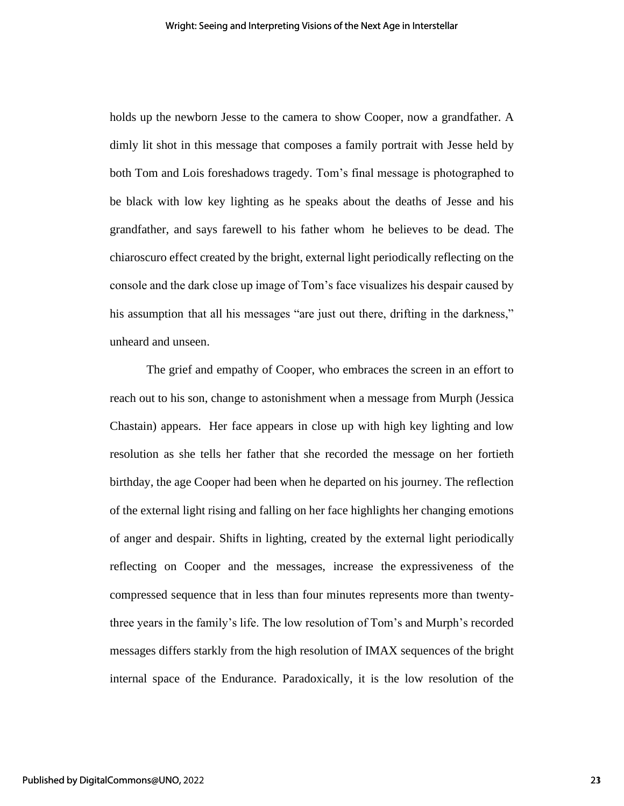holds up the newborn Jesse to the camera to show Cooper, now a grandfather. A dimly lit shot in this message that composes a family portrait with Jesse held by both Tom and Lois foreshadows tragedy. Tom's final message is photographed to be black with low key lighting as he speaks about the deaths of Jesse and his grandfather, and says farewell to his father whom he believes to be dead. The chiaroscuro effect created by the bright, external light periodically reflecting on the console and the dark close up image of Tom's face visualizes his despair caused by his assumption that all his messages "are just out there, drifting in the darkness," unheard and unseen.

The grief and empathy of Cooper, who embraces the screen in an effort to reach out to his son, change to astonishment when a message from Murph (Jessica Chastain) appears. Her face appears in close up with high key lighting and low resolution as she tells her father that she recorded the message on her fortieth birthday, the age Cooper had been when he departed on his journey. The reflection of the external light rising and falling on her face highlights her changing emotions of anger and despair. Shifts in lighting, created by the external light periodically reflecting on Cooper and the messages, increase the expressiveness of the compressed sequence that in less than four minutes represents more than twentythree years in the family's life. The low resolution of Tom's and Murph's recorded messages differs starkly from the high resolution of IMAX sequences of the bright internal space of the Endurance. Paradoxically, it is the low resolution of the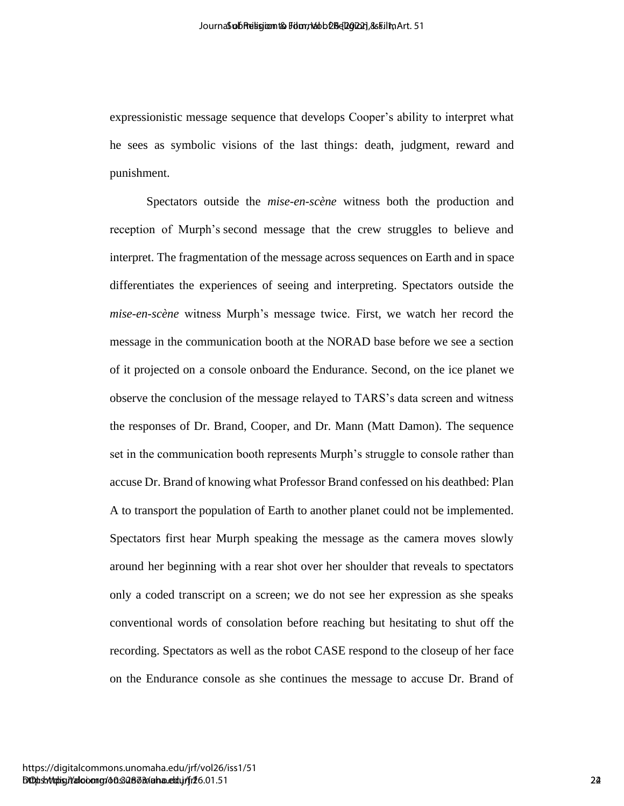expressionistic message sequence that develops Cooper's ability to interpret what he sees as symbolic visions of the last things: death, judgment, reward and punishment.

Spectators outside the *mise-en-scène* witness both the production and reception of Murph's second message that the crew struggles to believe and interpret. The fragmentation of the message across sequences on Earth and in space differentiates the experiences of seeing and interpreting. Spectators outside the *mise-en-scène* witness Murph's message twice. First, we watch her record the message in the communication booth at the NORAD base before we see a section of it projected on a console onboard the Endurance. Second, on the ice planet we observe the conclusion of the message relayed to TARS's data screen and witness the responses of Dr. Brand, Cooper, and Dr. Mann (Matt Damon). The sequence set in the communication booth represents Murph's struggle to console rather than accuse Dr. Brand of knowing what Professor Brand confessed on his deathbed: Plan A to transport the population of Earth to another planet could not be implemented. Spectators first hear Murph speaking the message as the camera moves slowly around her beginning with a rear shot over her shoulder that reveals to spectators only a coded transcript on a screen; we do not see her expression as she speaks conventional words of consolation before reaching but hesitating to shut off the recording. Spectators as well as the robot CASE respond to the closeup of her face on the Endurance console as she continues the message to accuse Dr. Brand of Anomological Summarization between Compact Summarization (S1)<br>expressionnistic increases exquires that the electron Cooper's ability to interpret what<br>he is consistent as symbolic visions of the late things: donth, judgmen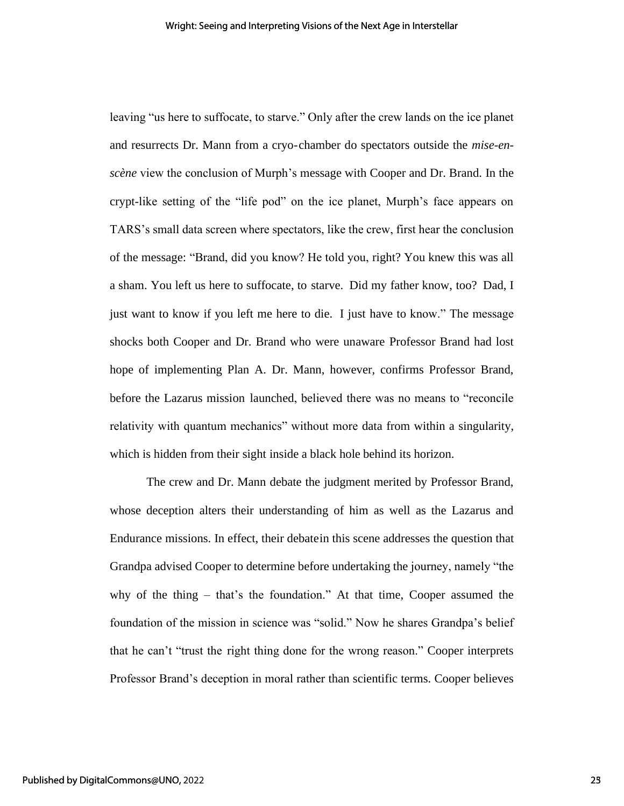leaving "us here to suffocate, to starve." Only after the crew lands on the ice planet and resurrects Dr. Mann from a cryo-chamber do spectators outside the *mise-enscène* view the conclusion of Murph's message with Cooper and Dr. Brand. In the crypt-like setting of the "life pod" on the ice planet, Murph's face appears on TARS's small data screen where spectators, like the crew, first hear the conclusion of the message: "Brand, did you know? He told you, right? You knew this was all a sham. You left us here to suffocate, to starve. Did my father know, too? Dad, I just want to know if you left me here to die. I just have to know." The message shocks both Cooper and Dr. Brand who were unaware Professor Brand had lost hope of implementing Plan A. Dr. Mann, however, confirms Professor Brand, before the Lazarus mission launched, believed there was no means to "reconcile relativity with quantum mechanics" without more data from within a singularity, which is hidden from their sight inside a black hole behind its horizon.

The crew and Dr. Mann debate the judgment merited by Professor Brand, whose deception alters their understanding of him as well as the Lazarus and Endurance missions. In effect, their debatein this scene addresses the question that Grandpa advised Cooper to determine before undertaking the journey, namely "the why of the thing – that's the foundation." At that time, Cooper assumed the foundation of the mission in science was "solid." Now he shares Grandpa's belief that he can't "trust the right thing done for the wrong reason." Cooper interprets Professor Brand's deception in moral rather than scientific terms. Cooper believes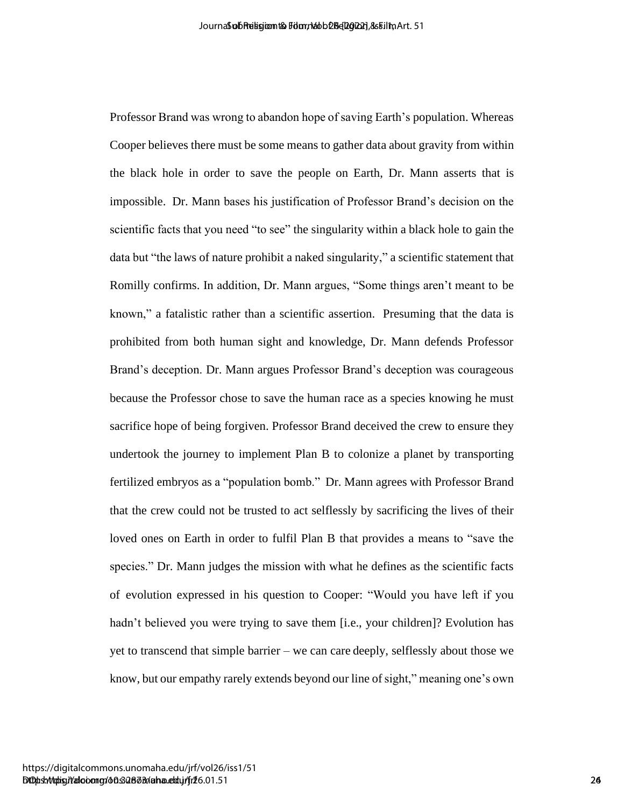Professor Brand was wrong to abandon hope of saving Earth's population. Whereas Cooper believes there must be some means to gather data about gravity from within the black hole in order to save the people on Earth, Dr. Mann asserts that is impossible. Dr. Mann bases his justification of Professor Brand's decision on the scientific facts that you need "to see" the singularity within a black hole to gain the data but "the laws of nature prohibit a naked singularity," a scientific statement that Romilly confirms. In addition, Dr. Mann argues, "Some things aren't meant to be known," a fatalistic rather than a scientific assertion. Presuming that the data is prohibited from both human sight and knowledge, Dr. Mann defends Professor Brand's deception. Dr. Mann argues Professor Brand's deception was courageous because the Professor chose to save the human race as a species knowing he must sacrifice hope of being forgiven. Professor Brand deceived the crew to ensure they undertook the journey to implement Plan B to colonize a planet by transporting fertilized embryos as a "population bomb." Dr. Mann agrees with Professor Brand that the crew could not be trusted to act selflessly by sacrificing the lives of their loved ones on Earth in order to fulfil Plan B that provides a means to "save the species." Dr. Mann judges the mission with what he defines as the scientific facts of evolution expressed in his question to Cooper: "Would you have left if you hadn't believed you were trying to save them [i.e., your children]? Evolution has yet to transcend that simple barrier – we can care deeply, selflessly about those we know, but our empathy rarely extends beyond our line of sight," meaning one's own According the Mondo Muslem of Religion Section According the China Control China Control China Control China Control China Control Control China Control Control China Control China China China China China China China Chin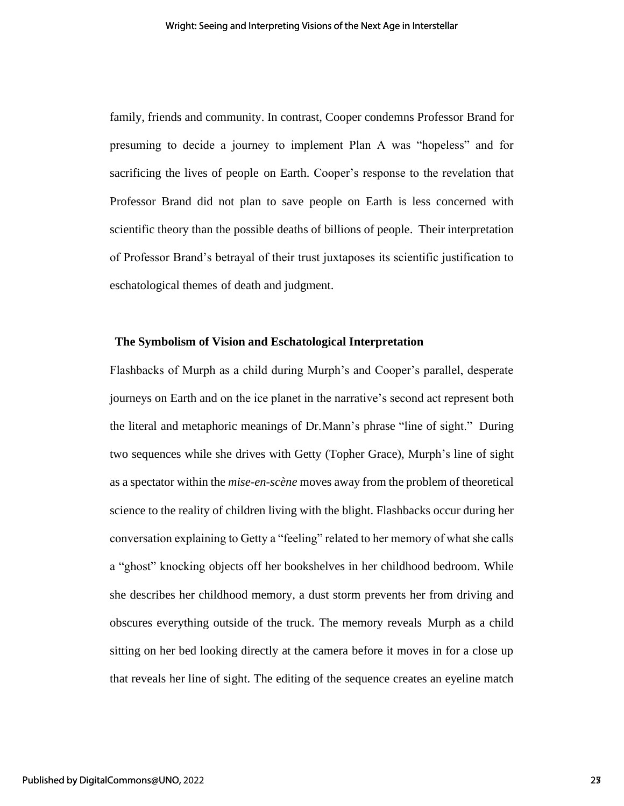family, friends and community. In contrast, Cooper condemns Professor Brand for presuming to decide a journey to implement Plan A was "hopeless" and for sacrificing the lives of people on Earth. Cooper's response to the revelation that Professor Brand did not plan to save people on Earth is less concerned with scientific theory than the possible deaths of billions of people. Their interpretation of Professor Brand's betrayal of their trust juxtaposes its scientific justification to eschatological themes of death and judgment.

### **The Symbolism of Vision and Eschatological Interpretation**

Flashbacks of Murph as a child during Murph's and Cooper's parallel, desperate journeys on Earth and on the ice planet in the narrative's second act represent both the literal and metaphoric meanings of Dr.Mann's phrase "line of sight." During two sequences while she drives with Getty (Topher Grace), Murph's line of sight as a spectator within the *mise-en-scène* moves away from the problem of theoretical science to the reality of children living with the blight. Flashbacks occur during her conversation explaining to Getty a "feeling" related to her memory of what she calls a "ghost" knocking objects off her bookshelves in her childhood bedroom. While she describes her childhood memory, a dust storm prevents her from driving and obscures everything outside of the truck. The memory reveals Murph as a child sitting on her bed looking directly at the camera before it moves in for a close up that reveals her line of sight. The editing of the sequence creates an eyeline match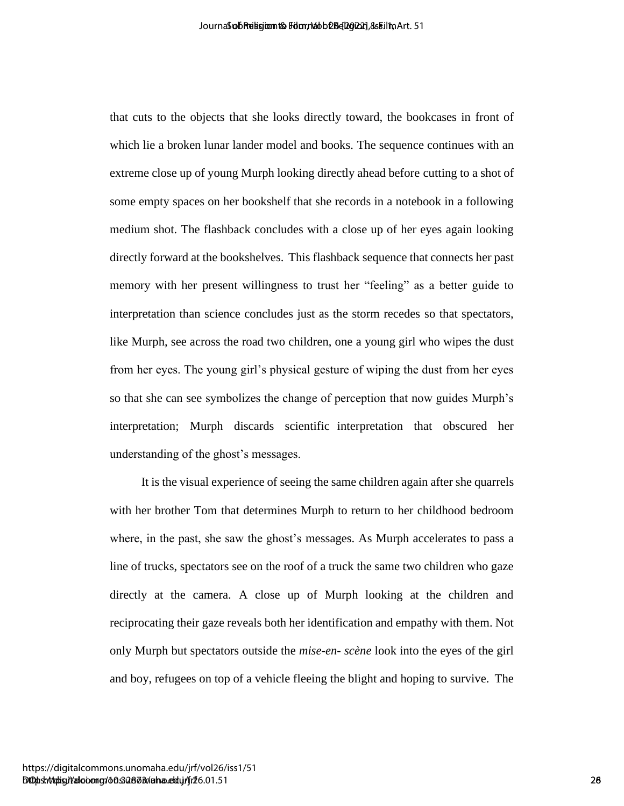that cuts to the objects that she looks directly toward, the bookcases in front of which lie a broken lunar lander model and books. The sequence continues with an extreme close up of young Murph looking directly ahead before cutting to a shot of some empty spaces on her bookshelf that she records in a notebook in a following medium shot. The flashback concludes with a close up of her eyes again looking directly forward at the bookshelves. This flashback sequence that connects her past memory with her present willingness to trust her "feeling" as a better guide to interpretation than science concludes just as the storm recedes so that spectators, like Murph, see across the road two children, one a young girl who wipes the dust from her eyes. The young girl's physical gesture of wiping the dust from her eyes so that she can see symbolizes the change of perception that now guides Murph's interpretation; Murph discards scientific interpretation that obscured her understanding of the ghost's messages. Anomological business business of the state of the state of the state of the state of the state of the state of the state of the state of the state of the state of the state of the state of the state of the state of the st

It is the visual experience of seeing the same children again after she quarrels with her brother Tom that determines Murph to return to her childhood bedroom where, in the past, she saw the ghost's messages. As Murph accelerates to pass a line of trucks, spectators see on the roof of a truck the same two children who gaze directly at the camera. A close up of Murph looking at the children and reciprocating their gaze reveals both her identification and empathy with them. Not only Murph but spectators outside the *mise-en- scène* look into the eyes of the girl and boy, refugees on top of a vehicle fleeing the blight and hoping to survive. The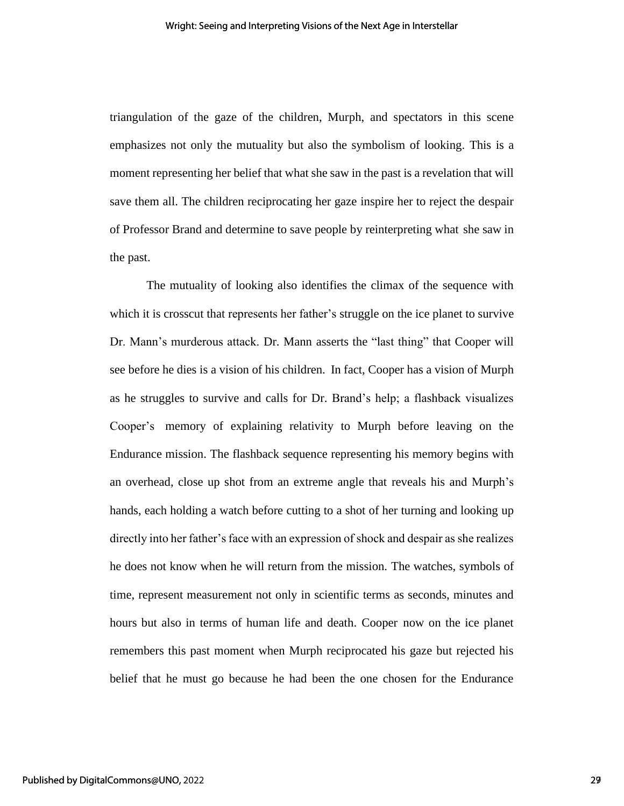triangulation of the gaze of the children, Murph, and spectators in this scene emphasizes not only the mutuality but also the symbolism of looking. This is a moment representing her belief that what she saw in the past is a revelation that will save them all. The children reciprocating her gaze inspire her to reject the despair of Professor Brand and determine to save people by reinterpreting what she saw in the past.

The mutuality of looking also identifies the climax of the sequence with which it is crosscut that represents her father's struggle on the ice planet to survive Dr. Mann's murderous attack. Dr. Mann asserts the "last thing" that Cooper will see before he dies is a vision of his children. In fact, Cooper has a vision of Murph as he struggles to survive and calls for Dr. Brand's help; a flashback visualizes Cooper's memory of explaining relativity to Murph before leaving on the Endurance mission. The flashback sequence representing his memory begins with an overhead, close up shot from an extreme angle that reveals his and Murph's hands, each holding a watch before cutting to a shot of her turning and looking up directly into her father's face with an expression of shock and despair as she realizes he does not know when he will return from the mission. The watches, symbols of time, represent measurement not only in scientific terms as seconds, minutes and hours but also in terms of human life and death. Cooper now on the ice planet remembers this past moment when Murph reciprocated his gaze but rejected his belief that he must go because he had been the one chosen for the Endurance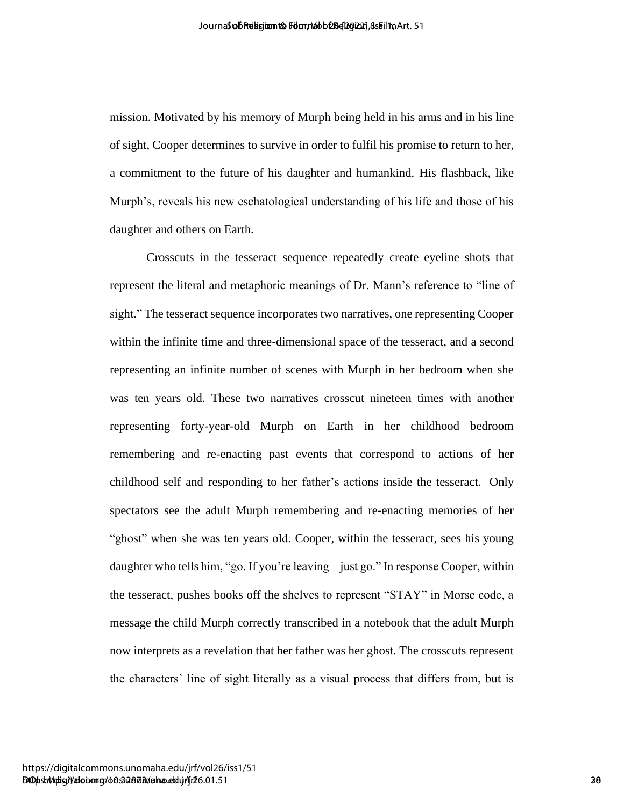mission. Motivated by his memory of Murph being held in his arms and in his line of sight, Cooper determines to survive in order to fulfil his promise to return to her, a commitment to the future of his daughter and humankind. His flashback, like Murph's, reveals his new eschatological understanding of his life and those of his daughter and others on Earth.

Crosscuts in the tesseract sequence repeatedly create eyeline shots that represent the literal and metaphoric meanings of Dr. Mann's reference to "line of sight." The tesseract sequence incorporates two narratives, one representing Cooper within the infinite time and three-dimensional space of the tesseract, and a second representing an infinite number of scenes with Murph in her bedroom when she was ten years old. These two narratives crosscut nineteen times with another representing forty-year-old Murph on Earth in her childhood bedroom remembering and re-enacting past events that correspond to actions of her childhood self and responding to her father's actions inside the tesseract. Only spectators see the adult Murph remembering and re-enacting memories of her "ghost" when she was ten years old. Cooper, within the tesseract, sees his young daughter who tells him, "go. If you're leaving – just go." In response Cooper, within the tesseract, pushes books off the shelves to represent "STAY" in Morse code, a message the child Murph correctly transcribed in a notebook that the adult Murph now interprets as a revelation that her father was her ghost. The crosscuts represent the characters' line of sight literally as a visual process that differs from, but is According the Bookston Magnetia Common Solution Common Solution Common Solution Common Solution Control Common Solution Control Control Control Control Control Control Control Control Control Control Control Control Contro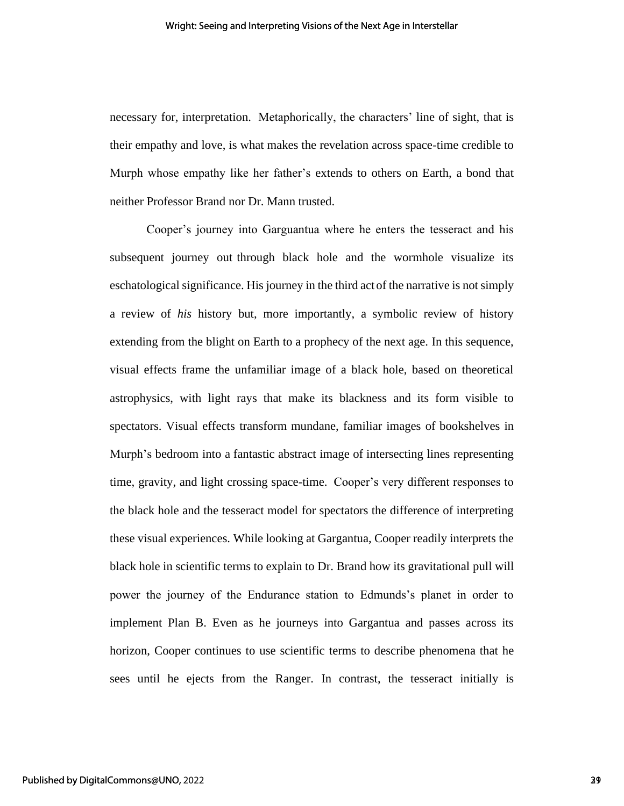necessary for, interpretation. Metaphorically, the characters' line of sight, that is their empathy and love, is what makes the revelation across space-time credible to Murph whose empathy like her father's extends to others on Earth, a bond that neither Professor Brand nor Dr. Mann trusted.

Cooper's journey into Garguantua where he enters the tesseract and his subsequent journey out through black hole and the wormhole visualize its eschatological significance. His journey in the third act of the narrative is not simply a review of *his* history but, more importantly, a symbolic review of history extending from the blight on Earth to a prophecy of the next age. In this sequence, visual effects frame the unfamiliar image of a black hole, based on theoretical astrophysics, with light rays that make its blackness and its form visible to spectators. Visual effects transform mundane, familiar images of bookshelves in Murph's bedroom into a fantastic abstract image of intersecting lines representing time, gravity, and light crossing space-time. Cooper's very different responses to the black hole and the tesseract model for spectators the difference of interpreting these visual experiences. While looking at Gargantua, Cooper readily interprets the black hole in scientific terms to explain to Dr. Brand how its gravitational pull will power the journey of the Endurance station to Edmunds's planet in order to implement Plan B. Even as he journeys into Gargantua and passes across its horizon, Cooper continues to use scientific terms to describe phenomena that he sees until he ejects from the Ranger. In contrast, the tesseract initially is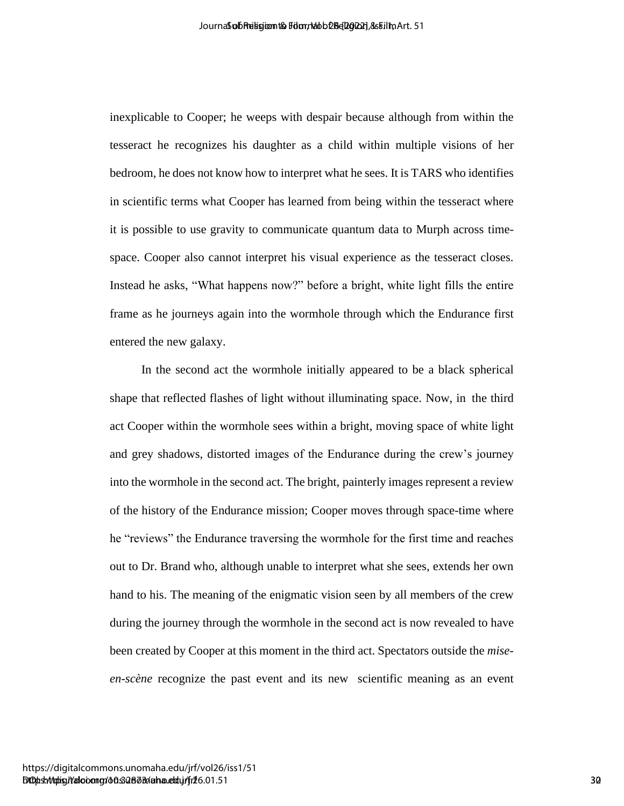inexplicable to Cooper; he weeps with despair because although from within the tesseract he recognizes his daughter as a child within multiple visions of her bedroom, he does not know how to interpret what he sees. It is TARS who identifies in scientific terms what Cooper has learned from being within the tesseract where it is possible to use gravity to communicate quantum data to Murph across timespace. Cooper also cannot interpret his visual experience as the tesseract closes. Instead he asks, "What happens now?" before a bright, white light fills the entire frame as he journeys again into the wormhole through which the Endurance first entered the new galaxy.

In the second act the wormhole initially appeared to be a black spherical shape that reflected flashes of light without illuminating space. Now, in the third act Cooper within the wormhole sees within a bright, moving space of white light and grey shadows, distorted images of the Endurance during the crew's journey into the wormhole in the second act. The bright, painterly images represent a review of the history of the Endurance mission; Cooper moves through space-time where he "reviews" the Endurance traversing the wormhole for the first time and reaches out to Dr. Brand who, although unable to interpret what she sees, extends her own hand to his. The meaning of the enigmatic vision seen by all members of the crew during the journey through the wormhole in the second act is now revealed to have been created by Cooper at this moment in the third act. Spectators outside the *miseen-scène* recognize the past event and its new scientific meaning as an event According the section of the section and the section in the section of the section of the section of the section of the section of the section of the section of the section of the section of the section of the section of t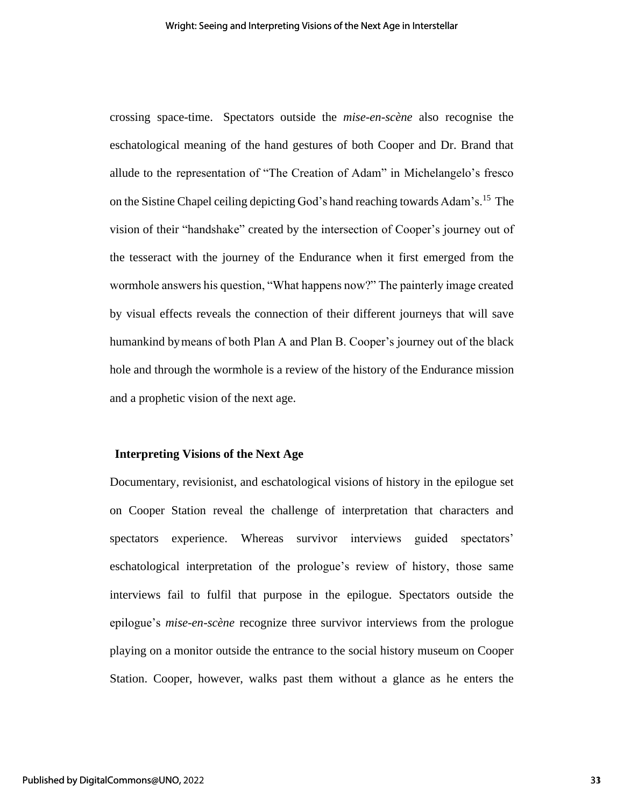crossing space-time. Spectators outside the *mise-en-scène* also recognise the eschatological meaning of the hand gestures of both Cooper and Dr. Brand that allude to the representation of "The Creation of Adam" in Michelangelo's fresco on the Sistine Chapel ceiling depicting God's hand reaching towards Adam's.<sup>15</sup> The vision of their "handshake" created by the intersection of Cooper's journey out of the tesseract with the journey of the Endurance when it first emerged from the wormhole answers his question, "What happens now?" The painterly image created by visual effects reveals the connection of their different journeys that will save humankind bymeans of both Plan A and Plan B. Cooper's journey out of the black hole and through the wormhole is a review of the history of the Endurance mission and a prophetic vision of the next age.

### **Interpreting Visions of the Next Age**

Documentary, revisionist, and eschatological visions of history in the epilogue set on Cooper Station reveal the challenge of interpretation that characters and spectators experience. Whereas survivor interviews guided spectators' eschatological interpretation of the prologue's review of history, those same interviews fail to fulfil that purpose in the epilogue. Spectators outside the epilogue's *mise-en-scène* recognize three survivor interviews from the prologue playing on a monitor outside the entrance to the social history museum on Cooper Station. Cooper, however, walks past them without a glance as he enters the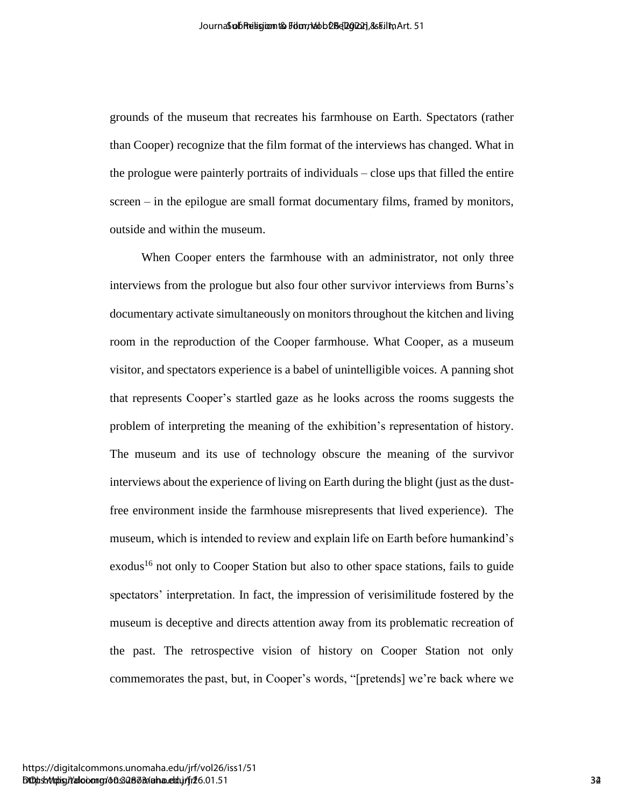grounds of the museum that recreates his farmhouse on Earth. Spectators (rather than Cooper) recognize that the film format of the interviews has changed. What in the prologue were painterly portraits of individuals – close ups that filled the entire screen – in the epilogue are small format documentary films, framed by monitors, outside and within the museum.

When Cooper enters the farmhouse with an administrator, not only three interviews from the prologue but also four other survivor interviews from Burns's documentary activate simultaneously on monitors throughout the kitchen and living room in the reproduction of the Cooper farmhouse. What Cooper, as a museum visitor, and spectators experience is a babel of unintelligible voices. A panning shot that represents Cooper's startled gaze as he looks across the rooms suggests the problem of interpreting the meaning of the exhibition's representation of history. The museum and its use of technology obscure the meaning of the survivor interviews about the experience of living on Earth during the blight (just as the dustfree environment inside the farmhouse misrepresents that lived experience). The museum, which is intended to review and explain life on Earth before humankind's exodus<sup>16</sup> not only to Cooper Station but also to other space stations, fails to guide spectators' interpretation. In fact, the impression of verisimilitude fostered by the museum is deceptive and directs attention away from its problematic recreation of the past. The retrospective vision of history on Cooper Station not only commemorates the past, but, in Cooper's words, "[pretends] we're back where we According the Novellet Margaret Shapes (San Film, Specifical Contents)<br>
provides that Cooperative that the film formation of the interviews based of Valet in<br>
the professor are provided provides a Film formation of the int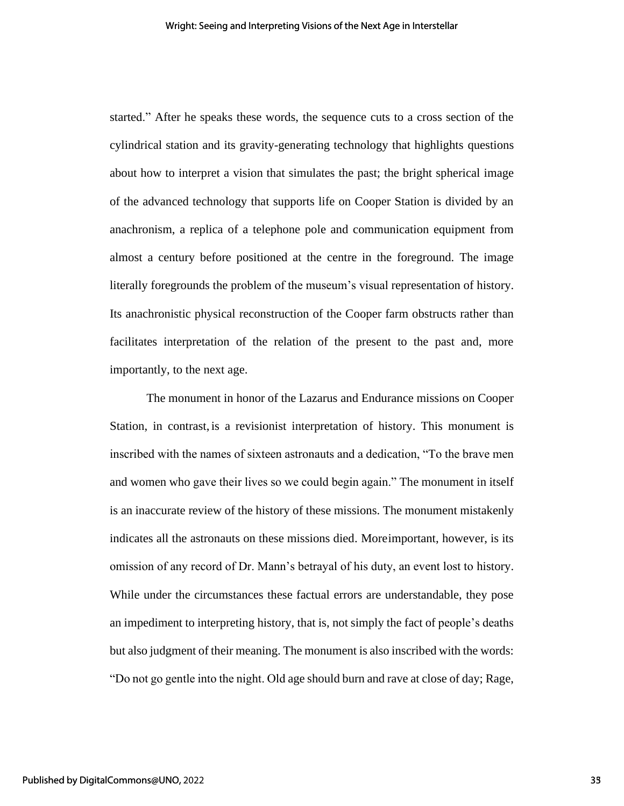started." After he speaks these words, the sequence cuts to a cross section of the cylindrical station and its gravity-generating technology that highlights questions about how to interpret a vision that simulates the past; the bright spherical image of the advanced technology that supports life on Cooper Station is divided by an anachronism, a replica of a telephone pole and communication equipment from almost a century before positioned at the centre in the foreground. The image literally foregrounds the problem of the museum's visual representation of history. Its anachronistic physical reconstruction of the Cooper farm obstructs rather than facilitates interpretation of the relation of the present to the past and, more importantly, to the next age.

The monument in honor of the Lazarus and Endurance missions on Cooper Station, in contrast, is a revisionist interpretation of history. This monument is inscribed with the names of sixteen astronauts and a dedication, "To the brave men and women who gave their lives so we could begin again." The monument in itself is an inaccurate review of the history of these missions. The monument mistakenly indicates all the astronauts on these missions died. Moreimportant, however, is its omission of any record of Dr. Mann's betrayal of his duty, an event lost to history. While under the circumstances these factual errors are understandable, they pose an impediment to interpreting history, that is, not simply the fact of people's deaths but also judgment of their meaning. The monument is also inscribed with the words: "Do not go gentle into the night. Old age should burn and rave at close of day; Rage,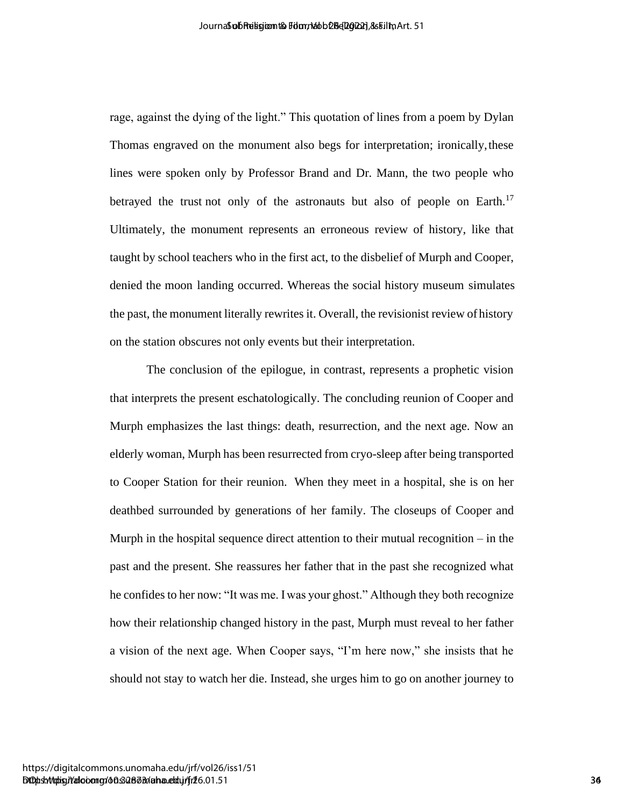rage, against the dying of the light." This quotation of lines from a poem by Dylan Thomas engraved on the monument also begs for interpretation; ironically,these lines were spoken only by Professor Brand and Dr. Mann, the two people who betrayed the trust not only of the astronauts but also of people on Earth.<sup>17</sup> Ultimately, the monument represents an erroneous review of history, like that taught by school teachers who in the first act, to the disbelief of Murph and Cooper, denied the moon landing occurred. Whereas the social history museum simulates the past, the monument literally rewrites it. Overall, the revisionist review of history on the station obscures not only events but their interpretation.

The conclusion of the epilogue, in contrast, represents a prophetic vision that interprets the present eschatologically. The concluding reunion of Cooper and Murph emphasizes the last things: death, resurrection, and the next age. Now an elderly woman, Murph has been resurrected from cryo-sleep after being transported to Cooper Station for their reunion. When they meet in a hospital, she is on her deathbed surrounded by generations of her family. The closeups of Cooper and Murph in the hospital sequence direct attention to their mutual recognition – in the past and the present. She reassures her father that in the past she recognized what he confides to her now: "It was me. I was your ghost." Although they both recognize how their relationship changed history in the past, Murph must reveal to her father a vision of the next age. When Cooper says, "I'm here now," she insists that he should not stay to watch her die. Instead, she urges him to go on another journey to According the big the ligit." This quotalism of Bins is provide the system of the system of the system of the monomenon of the system of the system of the system of the system of the system of the system of the system of t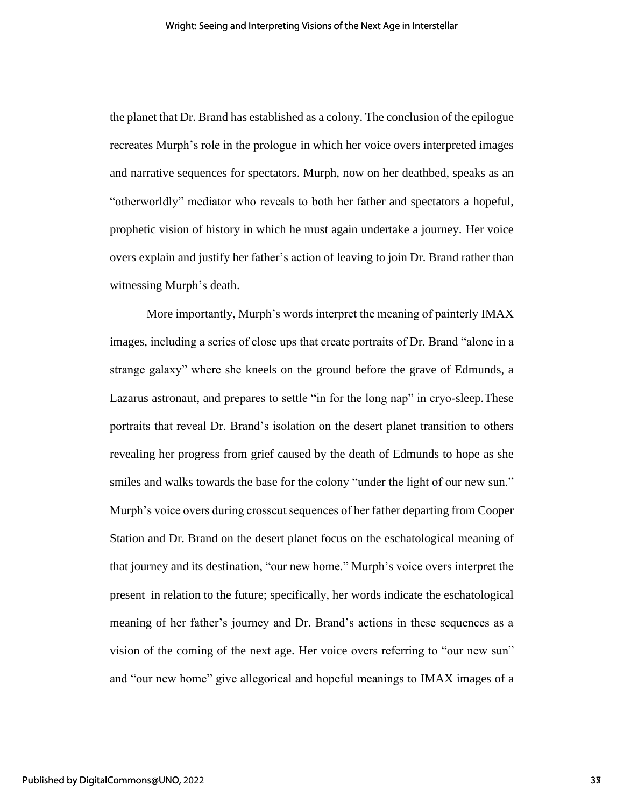the planet that Dr. Brand has established as a colony. The conclusion of the epilogue recreates Murph's role in the prologue in which her voice overs interpreted images and narrative sequences for spectators. Murph, now on her deathbed, speaks as an "otherworldly" mediator who reveals to both her father and spectators a hopeful, prophetic vision of history in which he must again undertake a journey. Her voice overs explain and justify her father's action of leaving to join Dr. Brand rather than witnessing Murph's death.

More importantly, Murph's words interpret the meaning of painterly IMAX images, including a series of close ups that create portraits of Dr. Brand "alone in a strange galaxy" where she kneels on the ground before the grave of Edmunds, a Lazarus astronaut, and prepares to settle "in for the long nap" in cryo-sleep.These portraits that reveal Dr. Brand's isolation on the desert planet transition to others revealing her progress from grief caused by the death of Edmunds to hope as she smiles and walks towards the base for the colony "under the light of our new sun." Murph's voice overs during crosscut sequences of her father departing from Cooper Station and Dr. Brand on the desert planet focus on the eschatological meaning of that journey and its destination, "our new home." Murph's voice overs interpret the present in relation to the future; specifically, her words indicate the eschatological meaning of her father's journey and Dr. Brand's actions in these sequences as a vision of the coming of the next age. Her voice overs referring to "our new sun" and "our new home" give allegorical and hopeful meanings to IMAX images of a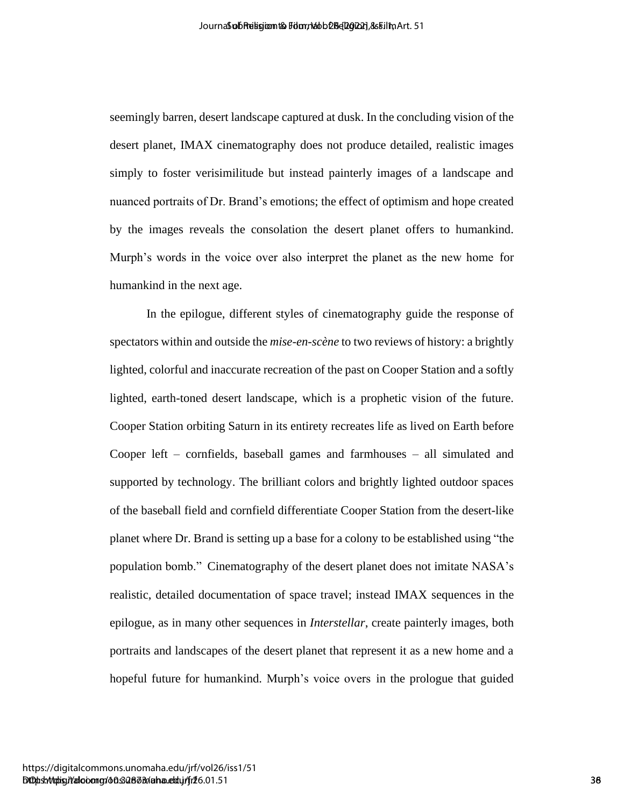seemingly barren, desert landscape captured at dusk. In the concluding vision of the desert planet, IMAX cinematography does not produce detailed, realistic images simply to foster verisimilitude but instead painterly images of a landscape and nuanced portraits of Dr. Brand's emotions; the effect of optimism and hope created by the images reveals the consolation the desert planet offers to humankind. Murph's words in the voice over also interpret the planet as the new home for humankind in the next age.

In the epilogue, different styles of cinematography guide the response of spectators within and outside the *mise-en-scène* to two reviews of history: a brightly lighted, colorful and inaccurate recreation of the past on Cooper Station and a softly lighted, earth-toned desert landscape, which is a prophetic vision of the future. Cooper Station orbiting Saturn in its entirety recreates life as lived on Earth before Cooper left – cornfields, baseball games and farmhouses – all simulated and supported by technology. The brilliant colors and brightly lighted outdoor spaces of the baseball field and cornfield differentiate Cooper Station from the desert-like planet where Dr. Brand is setting up a base for a colony to be established using "the population bomb." Cinematography of the desert planet does not imitate NASA's realistic, detailed documentation of space travel; instead IMAX sequences in the epilogue, as in many other sequences in *Interstellar*, create painterly images, both portraits and landscapes of the desert planet that represent it as a new home and a hopeful future for humankind. Murph's voice overs in the prologue that guided According the November of Religion Control and Control and Control and Control and Control and Control and Control and Control and Control and Control and Control and Control and Control and Control and Control and Control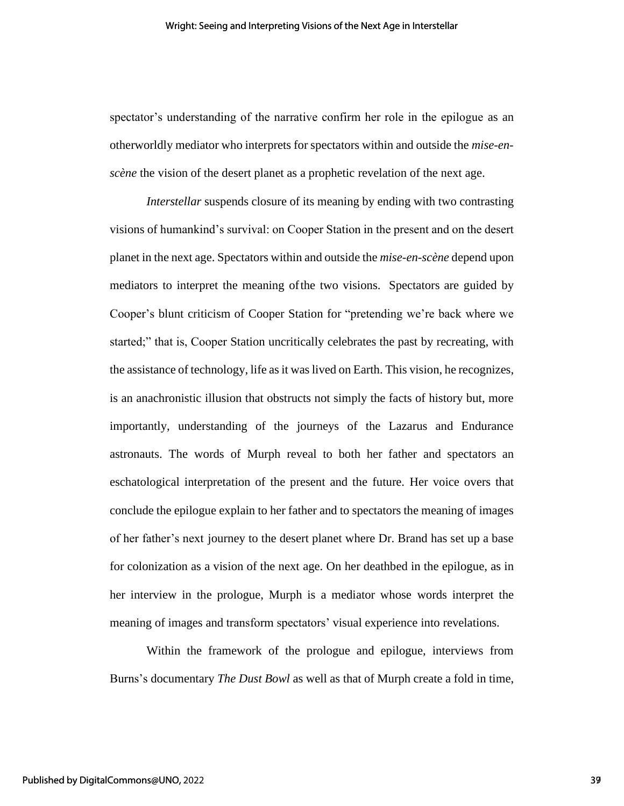spectator's understanding of the narrative confirm her role in the epilogue as an otherworldly mediator who interprets for spectators within and outside the *mise-enscène* the vision of the desert planet as a prophetic revelation of the next age.

*Interstellar* suspends closure of its meaning by ending with two contrasting visions of humankind's survival: on Cooper Station in the present and on the desert planet in the next age. Spectators within and outside the *mise-en-scène* depend upon mediators to interpret the meaning ofthe two visions. Spectators are guided by Cooper's blunt criticism of Cooper Station for "pretending we're back where we started;" that is, Cooper Station uncritically celebrates the past by recreating, with the assistance of technology, life as it was lived on Earth. This vision, he recognizes, is an anachronistic illusion that obstructs not simply the facts of history but, more importantly, understanding of the journeys of the Lazarus and Endurance astronauts. The words of Murph reveal to both her father and spectators an eschatological interpretation of the present and the future. Her voice overs that conclude the epilogue explain to her father and to spectators the meaning of images of her father's next journey to the desert planet where Dr. Brand has set up a base for colonization as a vision of the next age. On her deathbed in the epilogue, as in her interview in the prologue, Murph is a mediator whose words interpret the meaning of images and transform spectators' visual experience into revelations.

Within the framework of the prologue and epilogue, interviews from Burns's documentary *The Dust Bowl* as well as that of Murph create a fold in time,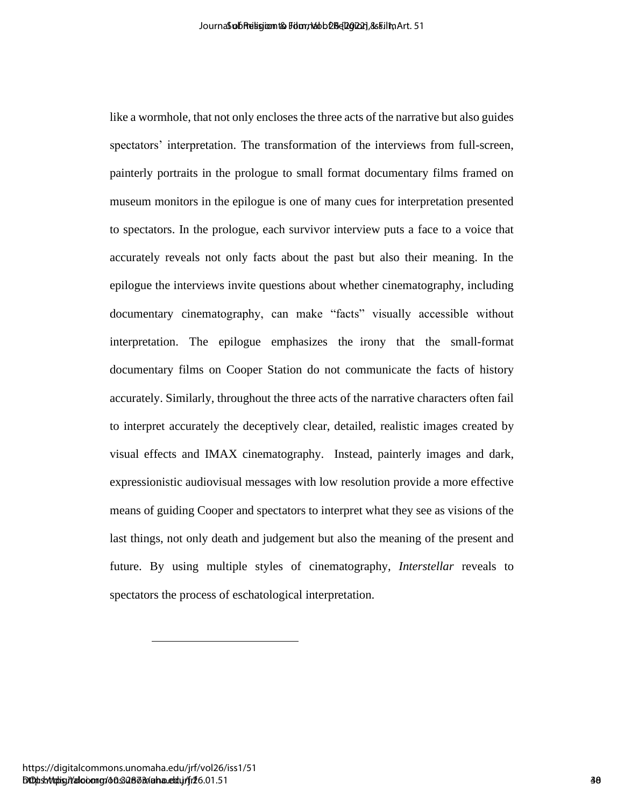like a wormhole, that not only encloses the three acts of the narrative but also guides spectators' interpretation. The transformation of the interviews from full-screen, painterly portraits in the prologue to small format documentary films framed on museum monitors in the epilogue is one of many cues for interpretation presented to spectators. In the prologue, each survivor interview puts a face to a voice that accurately reveals not only facts about the past but also their meaning. In the epilogue the interviews invite questions about whether cinematography, including documentary cinematography, can make "facts" visually accessible without interpretation. The epilogue emphasizes the irony that the small-format documentary films on Cooper Station do not communicate the facts of history accurately. Similarly, throughout the three acts of the narrative characters often fail to interpret accurately the deceptively clear, detailed, realistic images created by visual effects and IMAX cinematography. Instead, painterly images and dark, expressionistic audiovisual messages with low resolution provide a more effective means of guiding Cooper and spectators to interpret what they see as visions of the last things, not only death and judgement but also the meaning of the present and future. By using multiple styles of cinematography, *Interstellar* reveals to spectators the process of eschatological interpretation. Anomological particular and the state of the state of the state of the state of the state of the state of the state of the state of the state of the state of the state of the state of the state of the state of the state of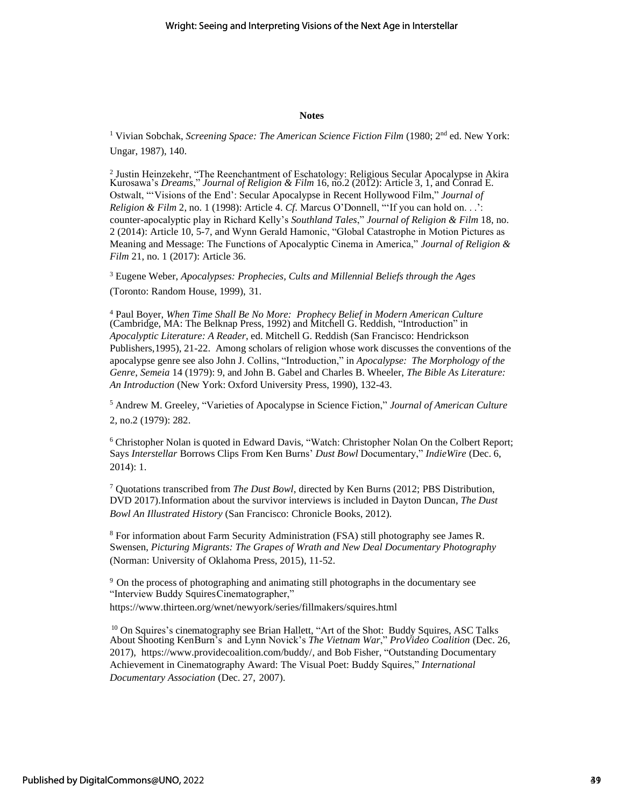#### **Notes**

<sup>1</sup> Vivian Sobchak, *Screening Space: The American Science Fiction Film* (1980; 2<sup>nd</sup> ed. New York: Ungar, 1987), 140.

<sup>2</sup> Justin Heinzekehr, "The Reenchantment of Eschatology: Religious Secular Apocalypse in Akira Kurosawa's *Dreams*," *Journal of Religion & Film* 16, no.2 (2012): Article 3, 1, and Conrad E. Ostwalt, "'Visions of the End': Secular Apocalypse in Recent Hollywood Film," *Journal of Religion & Film* 2, no. 1 (1998): Article 4. *Cf*. Marcus O'Donnell, "'If you can hold on. . .': counter-apocalyptic play in Richard Kelly's *Southland Tales*," *Journal of Religion & Film* 18, no. 2 (2014): Article 10, 5-7, and Wynn Gerald Hamonic, "Global Catastrophe in Motion Pictures as Meaning and Message: The Functions of Apocalyptic Cinema in America," *Journal of Religion & Film* 21, no. 1 (2017): Article 36.

<sup>3</sup> Eugene Weber, *Apocalypses: Prophecies, Cults and Millennial Beliefs through the Ages* (Toronto: Random House, 1999), 31.

<sup>4</sup> Paul Boyer, *When Time Shall Be No More: Prophecy Belief in Modern American Culture* (Cambridge, MA: The Belknap Press, 1992) and Mitchell G. Reddish, "Introduction" in *Apocalyptic Literature: A Reader*, ed. Mitchell G. Reddish (San Francisco: Hendrickson Publishers, 1995), 21-22. Among scholars of religion whose work discusses the conventions of the apocalypse genre see also John J. Collins, "Introduction," in *Apocalypse: The Morphology of the Genre*, *Semeia* 14 (1979): 9, and John B. Gabel and Charles B. Wheeler, *The Bible As Literature: An Introduction* (New York: Oxford University Press, 1990), 132-43.

<sup>5</sup> Andrew M. Greeley, "Varieties of Apocalypse in Science Fiction," *Journal of American Culture* 2, no.2 (1979): 282.

<sup>6</sup> Christopher Nolan is quoted in Edward Davis, "Watch: Christopher Nolan On the Colbert Report; Says *Interstellar* Borrows Clips From Ken Burns' *Dust Bowl* Documentary," *IndieWire* (Dec. 6, 2014): 1.

7 Quotations transcribed from *The Dust Bowl*, directed by Ken Burns (2012; PBS Distribution, DVD 2017).Information about the survivor interviews is included in Dayton Duncan, *The Dust Bowl An Illustrated History* (San Francisco: Chronicle Books, 2012).

<sup>8</sup> For information about Farm Security Administration (FSA) still photography see James R. Swensen, *Picturing Migrants: The Grapes of Wrath and New Deal Documentary Photography* (Norman: University of Oklahoma Press, 2015), 11-52.

<sup>9</sup> On the process of photographing and animating still photographs in the documentary see "Interview Buddy Squires Cinematographer," https://www.thirteen.org/wnet/newyork/series/fillmakers/squires.html

 $10$  On Squires's cinematography see Brian Hallett, "Art of the Shot: Buddy Squires, ASC Talks About Shooting KenBurn's and Lynn Novick's *The Vietnam War*," *ProVideo Coalition* (Dec. 26, 2017), [https://www.providecoalition.com/buddy/, an](https://www.providecoalition.com/buddy/)d Bob Fisher, "Outstanding Documentary Achievement in Cinematography Award: The Visual Poet: Buddy Squires," *International Documentary Association* (Dec. 27, 2007).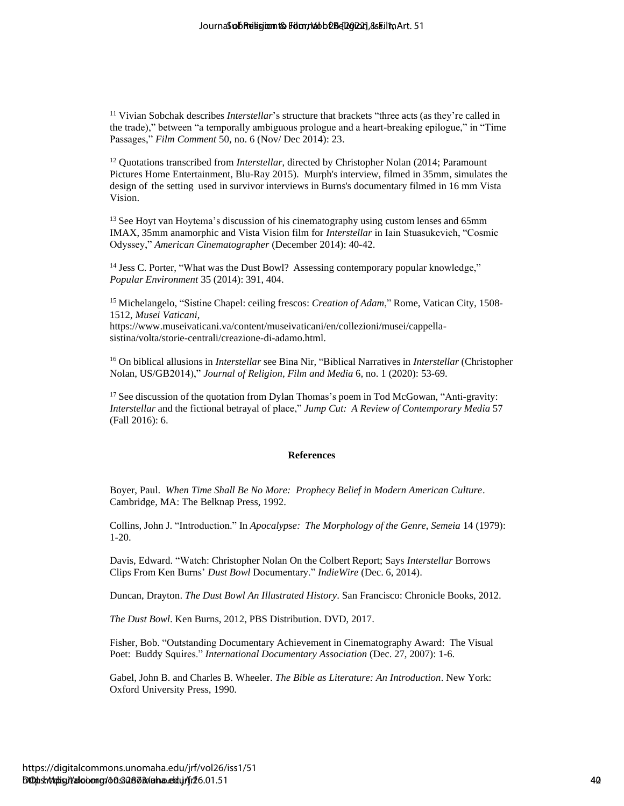<sup>11</sup> Vivian Sobchak describes *Interstellar*'s structure that brackets "three acts (as they're called in the trade)," between "a temporally ambiguous prologue and a heart-breaking epilogue," in "Time Passages," *Film Comment* 50, no. 6 (Nov/ Dec 2014): 23.

<sup>12</sup> Quotations transcribed from *Interstellar*, directed by Christopher Nolan (2014; Paramount Pictures Home Entertainment, Blu-Ray 2015). Murph's interview, filmed in 35mm, simulates the design of the setting used in survivor interviews in Burns's documentary filmed in 16 mm Vista Vision. According the religions of Religions (Eq. 2022) ( $\mu$ ) ( $\mu$ ) ( $\mu$ ) ( $\mu$ ) ( $\mu$ ) ( $\mu$ ) ( $\mu$ ) ( $\mu$ ) ( $\mu$ ) ( $\mu$ ) ( $\mu$ ) ( $\mu$ ) ( $\mu$ ) ( $\mu$ ) ( $\mu$ ) ( $\mu$ ) ( $\mu$ ) ( $\mu$ ) ( $\mu$ ) ( $\mu$ ) ( $\mu$ ) ( $\mu$ ) ( $\mu$ ) ( $\mu$ ) ( $\mu$ 

 $13$  See Hoyt van Hoytema's discussion of his cinematography using custom lenses and 65mm IMAX, 35mm anamorphic and Vista Vision film for *Interstellar* in Iain Stuasukevich, "Cosmic Odyssey," *American Cinematographer* (December 2014): 40-42.

<sup>14</sup> Jess C. Porter, "What was the Dust Bowl? Assessing contemporary popular knowledge," *Popular Environment* 35 (2014): 391, 404.

<sup>15</sup> Michelangelo, "Sistine Chapel: ceiling frescos: *Creation of Adam*," Rome, Vatican City, 1508- 1512, *Musei Vaticani*,

https://www.museivaticani.va/content/museivaticani/en/collezioni/musei/cappellasistina/volta/storie-centrali/creazione-di-adamo.html.

<sup>16</sup> On biblical allusions in *Interstellar* see Bina Nir, "Biblical Narratives in *Interstellar* (Christopher Nolan, US/GB2014)," *Journal of Religion, Film and Media* 6, no. 1 (2020): 53-69.

<sup>17</sup> See discussion of the quotation from Dylan Thomas's poem in Tod McGowan, "Anti-gravity: *Interstellar* and the fictional betrayal of place," *Jump Cut: A Review of Contemporary Media* 57 (Fall 2016): 6.

#### **References**

Boyer, Paul. *When Time Shall Be No More: Prophecy Belief in Modern American Culture*. Cambridge, MA: The Belknap Press, 1992.

Collins, John J. "Introduction." In *Apocalypse: The Morphology of the Genre*, *Semeia* 14 (1979): 1-20.

Davis, Edward. "Watch: Christopher Nolan On the Colbert Report; Says *Interstellar* Borrows Clips From Ken Burns' *Dust Bowl* Documentary." *IndieWire* (Dec. 6, 2014).

Duncan, Drayton. *The Dust Bowl An Illustrated History*. San Francisco: Chronicle Books, 2012.

*The Dust Bowl*. Ken Burns, 2012, PBS Distribution. DVD, 2017.

Fisher, Bob. "Outstanding Documentary Achievement in Cinematography Award: The Visual Poet: Buddy Squires." *International Documentary Association* (Dec. 27, 2007): 1-6.

Gabel, John B. and Charles B. Wheeler. *The Bible as Literature: An Introduction*. New York: Oxford University Press, 1990.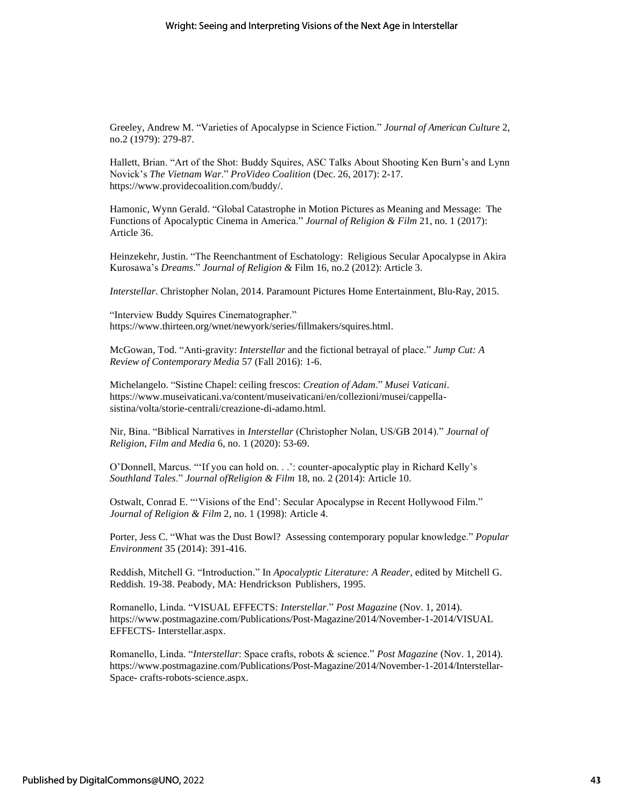Greeley, Andrew M. "Varieties of Apocalypse in Science Fiction." *Journal of American Culture* 2, no.2 (1979): 279-87.

Hallett, Brian. "Art of the Shot: Buddy Squires, ASC Talks About Shooting Ken Burn's and Lynn Novick's *The Vietnam War*." *ProVideo Coalition* (Dec. 26, 2017): 2-17. https://www.providecoalition.com/buddy/.

Hamonic, Wynn Gerald. "Global Catastrophe in Motion Pictures as Meaning and Message: The Functions of Apocalyptic Cinema in America." *Journal of Religion & Film* 21, no. 1 (2017): Article 36.

Heinzekehr, Justin. "The Reenchantment of Eschatology: Religious Secular Apocalypse in Akira Kurosawa's *Dreams*." *Journal of Religion &* Film 16, no.2 (2012): Article 3.

*Interstellar*. Christopher Nolan, 2014. Paramount Pictures Home Entertainment, Blu-Ray, 2015.

"Interview Buddy Squires Cinematographer." https://www.thirteen.org/wnet/newyork/series/fillmakers/squires.html.

McGowan, Tod. "Anti-gravity: *Interstellar* and the fictional betrayal of place." *Jump Cut: A Review of Contemporary Media* 57 (Fall 2016): 1-6.

[Michelangelo.](https://library-artstor-org.ezproxy.library.uvic.ca/asset/LESSING_ART_) "Sistine Chapel: ceiling frescos: *Creation of Adam*." *Musei Vaticani*. [https://www.museivaticani.va/content/museivaticani/en/collezioni/musei/cappella](ttps://www.museivaticani.va/content/museivaticani/en/collezioni/musei/cappella-sistina/volta/storie-c)[sistina/volta/storie-ce](ttps://www.museivaticani.va/content/museivaticani/en/collezioni/musei/cappella-sistina/volta/storie-c)ntrali/creazione-di-adamo.html.

Nir, Bina. "Biblical Narratives in *Interstellar* (Christopher Nolan, US/GB 2014)." *Journal of Religion, Film and Media* 6, no. 1 (2020): 53-69.

O'Donnell, Marcus. "'If you can hold on. . .': counter-apocalyptic play in Richard Kelly's *Southland Tales*." *Journal ofReligion & Film* 18, no. 2 (2014): Article 10.

Ostwalt, Conrad E. "'Visions of the End': Secular Apocalypse in Recent Hollywood Film." *Journal of Religion & Film* 2, no. 1 (1998): Article 4.

Porter, Jess C. "What was the Dust Bowl? Assessing contemporary popular knowledge." *Popular Environment* 35 (2014): 391-416.

Reddish, Mitchell G. "Introduction." In *Apocalyptic Literature: A Reader*, edited by Mitchell G. Reddish. 19-38. Peabody, MA: Hendrickson Publishers, 1995.

Romanello, Linda. "VISUAL EFFECTS: *Interstellar*." *Post Magazine* (Nov. 1, 2014). [https://www.postmagazine.com/Publications/Post-Magazine/2014/November-1-2014/VISUAL](https://www.postmagazine.com/Publications/Post-Magazine/2014/November-1-2014/VFX-Interstellar.aspx)  [EFFECTS-](https://www.postmagazine.com/Publications/Post-Magazine/2014/November-1-2014/VFX-Interstellar.aspx) [Interstellar.aspx.](https://www.postmagazine.com/Publications/Post-Magazine/2014/November-1-2014/VFX-Interstellar.aspx)

Romanello, Linda. "*Interstellar*: Space crafts, robots & science." *Post Magazine* (Nov. 1, 2014). [https://www.postmagazine.com/Publications/Post-Magazine/2014/November-1-2014/Interstellar-](https://www.postmagazine.com/Publications/Post-Magazine/2014/November-1-2014/Interstellar-Space-crafts-robots-science.aspx)[Space-](https://www.postmagazine.com/Publications/Post-Magazine/2014/November-1-2014/Interstellar-Space-crafts-robots-science.aspx) [crafts-robots-science.aspx.](https://www.postmagazine.com/Publications/Post-Magazine/2014/November-1-2014/Interstellar-Space-crafts-robots-science.aspx)